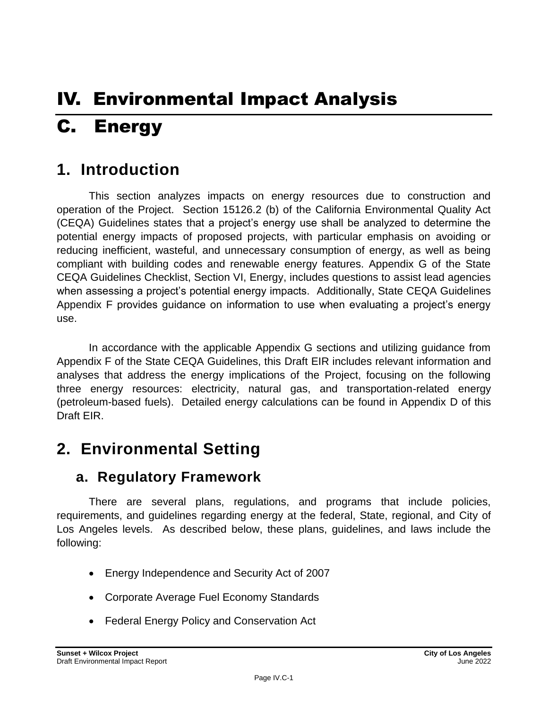# IV. Environmental Impact Analysis C. Energy

# **1. Introduction**

This section analyzes impacts on energy resources due to construction and operation of the Project. Section 15126.2 (b) of the California Environmental Quality Act (CEQA) Guidelines states that a project's energy use shall be analyzed to determine the potential energy impacts of proposed projects, with particular emphasis on avoiding or reducing inefficient, wasteful, and unnecessary consumption of energy, as well as being compliant with building codes and renewable energy features. Appendix G of the State CEQA Guidelines Checklist, Section VI, Energy, includes questions to assist lead agencies when assessing a project's potential energy impacts. Additionally, State CEQA Guidelines Appendix F provides guidance on information to use when evaluating a project's energy use.

In accordance with the applicable Appendix G sections and utilizing guidance from Appendix F of the State CEQA Guidelines, this Draft EIR includes relevant information and analyses that address the energy implications of the Project, focusing on the following three energy resources: electricity, natural gas, and transportation-related energy (petroleum-based fuels). Detailed energy calculations can be found in Appendix D of this Draft EIR.

# **2. Environmental Setting**

# **a. Regulatory Framework**

There are several plans, regulations, and programs that include policies, requirements, and guidelines regarding energy at the federal, State, regional, and City of Los Angeles levels. As described below, these plans, guidelines, and laws include the following:

- Energy Independence and Security Act of 2007
- Corporate Average Fuel Economy Standards
- Federal Energy Policy and Conservation Act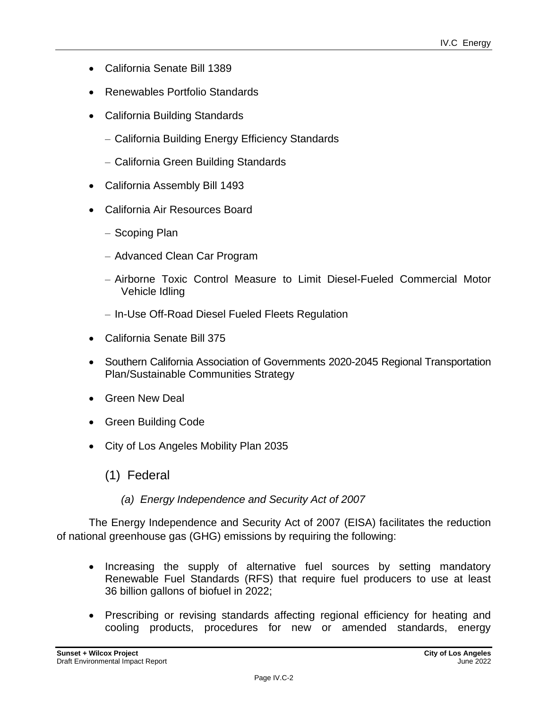- California Senate Bill 1389
- Renewables Portfolio Standards
- California Building Standards
	- California Building Energy Efficiency Standards
	- California Green Building Standards
- California Assembly Bill 1493
- California Air Resources Board
	- Scoping Plan
	- Advanced Clean Car Program
	- Airborne Toxic Control Measure to Limit Diesel-Fueled Commercial Motor Vehicle Idling
	- In-Use Off-Road Diesel Fueled Fleets Regulation
- California Senate Bill 375
- Southern California Association of Governments 2020-2045 Regional Transportation Plan/Sustainable Communities Strategy
- Green New Deal
- Green Building Code
- City of Los Angeles Mobility Plan 2035
	- (1) Federal
		- *(a) Energy Independence and Security Act of 2007*

The Energy Independence and Security Act of 2007 (EISA) facilitates the reduction of national greenhouse gas (GHG) emissions by requiring the following:

- Increasing the supply of alternative fuel sources by setting mandatory Renewable Fuel Standards (RFS) that require fuel producers to use at least 36 billion gallons of biofuel in 2022;
- Prescribing or revising standards affecting regional efficiency for heating and cooling products, procedures for new or amended standards, energy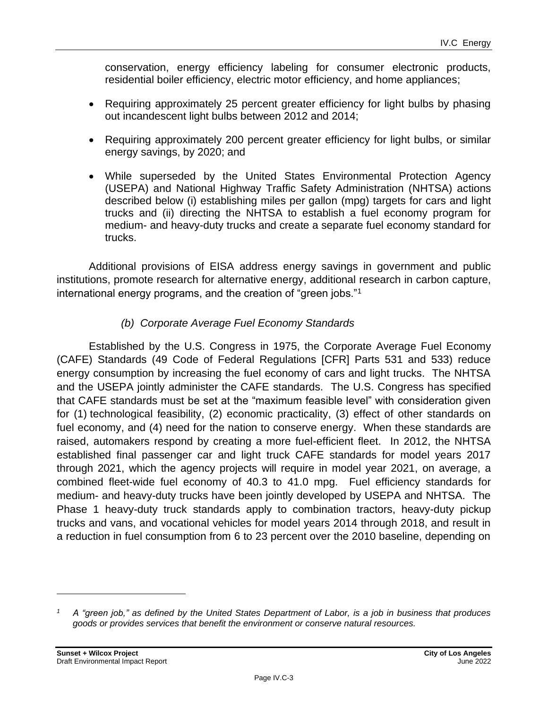conservation, energy efficiency labeling for consumer electronic products, residential boiler efficiency, electric motor efficiency, and home appliances;

- Requiring approximately 25 percent greater efficiency for light bulbs by phasing out incandescent light bulbs between 2012 and 2014;
- Requiring approximately 200 percent greater efficiency for light bulbs, or similar energy savings, by 2020; and
- While superseded by the United States Environmental Protection Agency (USEPA) and National Highway Traffic Safety Administration (NHTSA) actions described below (i) establishing miles per gallon (mpg) targets for cars and light trucks and (ii) directing the NHTSA to establish a fuel economy program for medium- and heavy-duty trucks and create a separate fuel economy standard for trucks.

Additional provisions of EISA address energy savings in government and public institutions, promote research for alternative energy, additional research in carbon capture, international energy programs, and the creation of "green jobs."<sup>1</sup>

# *(b) Corporate Average Fuel Economy Standards*

Established by the U.S. Congress in 1975, the Corporate Average Fuel Economy (CAFE) Standards (49 Code of Federal Regulations [CFR] Parts 531 and 533) reduce energy consumption by increasing the fuel economy of cars and light trucks. The NHTSA and the USEPA jointly administer the CAFE standards. The U.S. Congress has specified that CAFE standards must be set at the "maximum feasible level" with consideration given for (1) technological feasibility, (2) economic practicality, (3) effect of other standards on fuel economy, and (4) need for the nation to conserve energy. When these standards are raised, automakers respond by creating a more fuel-efficient fleet. In 2012, the NHTSA established final passenger car and light truck CAFE standards for model years 2017 through 2021, which the agency projects will require in model year 2021, on average, a combined fleet-wide fuel economy of 40.3 to 41.0 mpg. Fuel efficiency standards for medium- and heavy-duty trucks have been jointly developed by USEPA and NHTSA. The Phase 1 heavy-duty truck standards apply to combination tractors, heavy-duty pickup trucks and vans, and vocational vehicles for model years 2014 through 2018, and result in a reduction in fuel consumption from 6 to 23 percent over the 2010 baseline, depending on

*<sup>1</sup> A "green job," as defined by the United States Department of Labor, is a job in business that produces goods or provides services that benefit the environment or conserve natural resources.*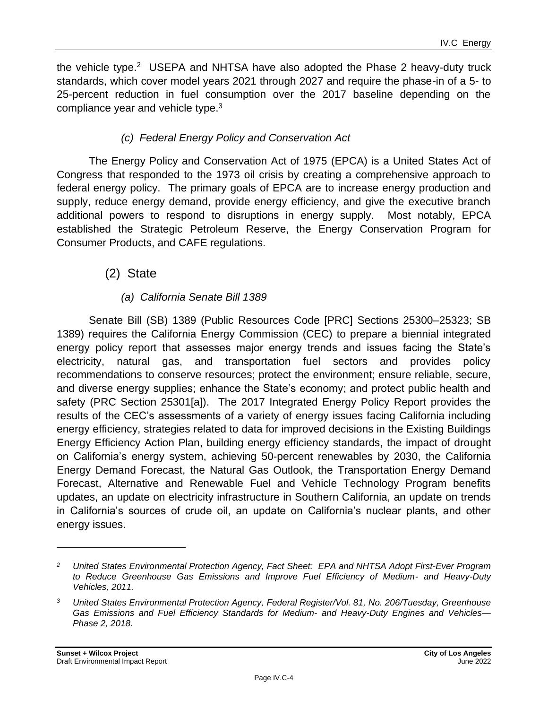the vehicle type.<sup>2</sup> USEPA and NHTSA have also adopted the Phase 2 heavy-duty truck standards, which cover model years 2021 through 2027 and require the phase-in of a 5- to 25-percent reduction in fuel consumption over the 2017 baseline depending on the compliance year and vehicle type.<sup>3</sup>

# *(c) Federal Energy Policy and Conservation Act*

The Energy Policy and Conservation Act of 1975 (EPCA) is a United States Act of Congress that responded to the 1973 oil crisis by creating a comprehensive approach to federal energy policy. The primary goals of EPCA are to increase energy production and supply, reduce energy demand, provide energy efficiency, and give the executive branch additional powers to respond to disruptions in energy supply. Most notably, EPCA established the Strategic Petroleum Reserve, the Energy Conservation Program for Consumer Products, and CAFE regulations.

# (2) State

# *(a) California Senate Bill 1389*

Senate Bill (SB) 1389 (Public Resources Code [PRC] Sections 25300–25323; SB 1389) requires the California Energy Commission (CEC) to prepare a biennial integrated energy policy report that assesses major energy trends and issues facing the State's electricity, natural gas, and transportation fuel sectors and provides policy recommendations to conserve resources; protect the environment; ensure reliable, secure, and diverse energy supplies; enhance the State's economy; and protect public health and safety (PRC Section 25301[a]). The 2017 Integrated Energy Policy Report provides the results of the CEC's assessments of a variety of energy issues facing California including energy efficiency, strategies related to data for improved decisions in the Existing Buildings Energy Efficiency Action Plan, building energy efficiency standards, the impact of drought on California's energy system, achieving 50-percent renewables by 2030, the California Energy Demand Forecast, the Natural Gas Outlook, the Transportation Energy Demand Forecast, Alternative and Renewable Fuel and Vehicle Technology Program benefits updates, an update on electricity infrastructure in Southern California, an update on trends in California's sources of crude oil, an update on California's nuclear plants, and other energy issues.

*<sup>2</sup> United States Environmental Protection Agency, Fact Sheet: EPA and NHTSA Adopt First-Ever Program to Reduce Greenhouse Gas Emissions and Improve Fuel Efficiency of Medium- and Heavy-Duty Vehicles, 2011.*

*<sup>3</sup> United States Environmental Protection Agency, Federal Register/Vol. 81, No. 206/Tuesday, Greenhouse Gas Emissions and Fuel Efficiency Standards for Medium- and Heavy-Duty Engines and Vehicles— Phase 2, 2018.*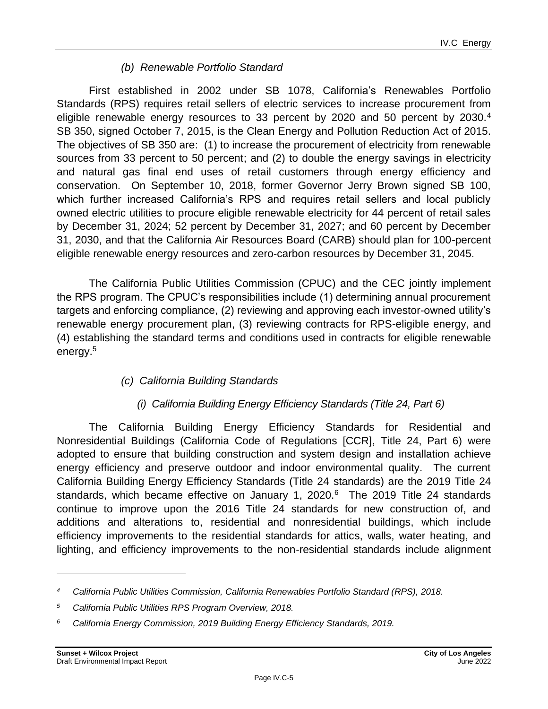# *(b) Renewable Portfolio Standard*

First established in 2002 under SB 1078, California's Renewables Portfolio Standards (RPS) requires retail sellers of electric services to increase procurement from eligible renewable energy resources to 33 percent by 2020 and 50 percent by 2030. $4$ SB 350, signed October 7, 2015, is the Clean Energy and Pollution Reduction Act of 2015. The objectives of SB 350 are: (1) to increase the procurement of electricity from renewable sources from 33 percent to 50 percent; and (2) to double the energy savings in electricity and natural gas final end uses of retail customers through energy efficiency and conservation. On September 10, 2018, former Governor Jerry Brown signed SB 100, which further increased California's RPS and requires retail sellers and local publicly owned electric utilities to procure eligible renewable electricity for 44 percent of retail sales by December 31, 2024; 52 percent by December 31, 2027; and 60 percent by December 31, 2030, and that the California Air Resources Board (CARB) should plan for 100-percent eligible renewable energy resources and zero-carbon resources by December 31, 2045.

The California Public Utilities Commission (CPUC) and the CEC jointly implement the RPS program. The CPUC's responsibilities include (1) determining annual procurement targets and enforcing compliance, (2) reviewing and approving each investor-owned utility's renewable energy procurement plan, (3) reviewing contracts for RPS-eligible energy, and (4) establishing the standard terms and conditions used in contracts for eligible renewable energy.<sup>5</sup>

# *(c) California Building Standards*

# *(i) California Building Energy Efficiency Standards (Title 24, Part 6)*

The California Building Energy Efficiency Standards for Residential and Nonresidential Buildings (California Code of Regulations [CCR], Title 24, Part 6) were adopted to ensure that building construction and system design and installation achieve energy efficiency and preserve outdoor and indoor environmental quality. The current California Building Energy Efficiency Standards (Title 24 standards) are the 2019 Title 24 standards, which became effective on January 1, 2020.<sup>6</sup> The 2019 Title 24 standards continue to improve upon the 2016 Title 24 standards for new construction of, and additions and alterations to, residential and nonresidential buildings, which include efficiency improvements to the residential standards for attics, walls, water heating, and lighting, and efficiency improvements to the non-residential standards include alignment

*<sup>4</sup> California Public Utilities Commission, California Renewables Portfolio Standard (RPS), 2018.*

*<sup>5</sup> California Public Utilities RPS Program Overview, 2018.*

*<sup>6</sup> California Energy Commission, 2019 Building Energy Efficiency Standards, 2019.*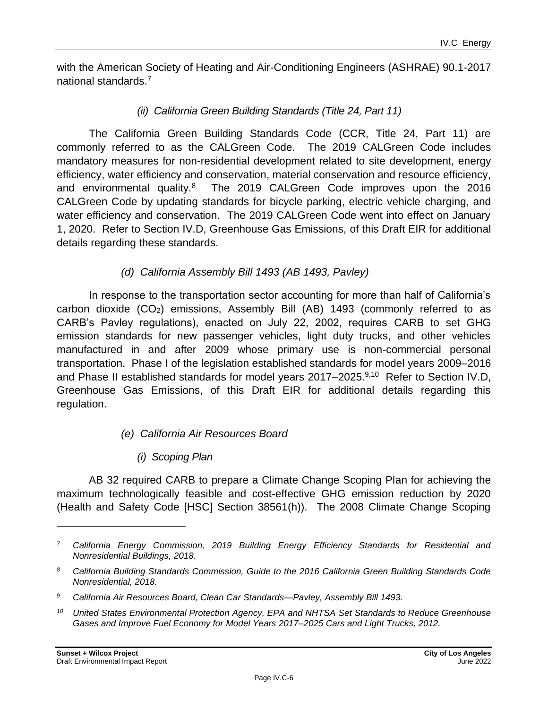with the American Society of Heating and Air-Conditioning Engineers (ASHRAE) 90.1-2017 national standards.<sup>7</sup>

#### *(ii) California Green Building Standards (Title 24, Part 11)*

The California Green Building Standards Code (CCR, Title 24, Part 11) are commonly referred to as the CALGreen Code. The 2019 CALGreen Code includes mandatory measures for non-residential development related to site development, energy efficiency, water efficiency and conservation, material conservation and resource efficiency, and environmental quality.<sup>8</sup> The 2019 CALGreen Code improves upon the 2016 CALGreen Code by updating standards for bicycle parking, electric vehicle charging, and water efficiency and conservation. The 2019 CALGreen Code went into effect on January 1, 2020. Refer to Section IV.D, Greenhouse Gas Emissions, of this Draft EIR for additional details regarding these standards.

#### *(d) California Assembly Bill 1493 (AB 1493, Pavley)*

In response to the transportation sector accounting for more than half of California's carbon dioxide  $(CO_2)$  emissions, Assembly Bill  $(AB)$  1493 (commonly referred to as CARB's Pavley regulations), enacted on July 22, 2002, requires CARB to set GHG emission standards for new passenger vehicles, light duty trucks, and other vehicles manufactured in and after 2009 whose primary use is non-commercial personal transportation. Phase I of the legislation established standards for model years 2009–2016 and Phase II established standards for model years 2017–2025.<sup>9,10</sup> Refer to Section IV.D, Greenhouse Gas Emissions, of this Draft EIR for additional details regarding this regulation.

#### *(e) California Air Resources Board*

# *(i) Scoping Plan*

AB 32 required CARB to prepare a Climate Change Scoping Plan for achieving the maximum technologically feasible and cost-effective GHG emission reduction by 2020 (Health and Safety Code [HSC] Section 38561(h)). The 2008 Climate Change Scoping

*<sup>7</sup> California Energy Commission, 2019 Building Energy Efficiency Standards for Residential and Nonresidential Buildings, 2018.*

*<sup>8</sup> California Building Standards Commission, Guide to the 2016 California Green Building Standards Code Nonresidential, 2018.*

*<sup>9</sup> California Air Resources Board, Clean Car Standards—Pavley, Assembly Bill 1493.*

*<sup>10</sup> United States Environmental Protection Agency, EPA and NHTSA Set Standards to Reduce Greenhouse Gases and Improve Fuel Economy for Model Years 2017–2025 Cars and Light Trucks, 2012.*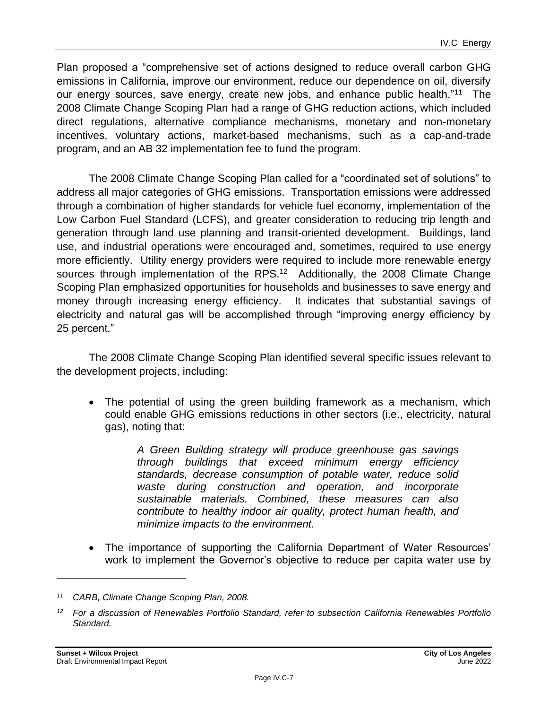Plan proposed a "comprehensive set of actions designed to reduce overall carbon GHG emissions in California, improve our environment, reduce our dependence on oil, diversify our energy sources, save energy, create new jobs, and enhance public health."<sup>11</sup> The 2008 Climate Change Scoping Plan had a range of GHG reduction actions, which included direct regulations, alternative compliance mechanisms, monetary and non-monetary incentives, voluntary actions, market-based mechanisms, such as a cap-and-trade program, and an AB 32 implementation fee to fund the program.

The 2008 Climate Change Scoping Plan called for a "coordinated set of solutions" to address all major categories of GHG emissions. Transportation emissions were addressed through a combination of higher standards for vehicle fuel economy, implementation of the Low Carbon Fuel Standard (LCFS), and greater consideration to reducing trip length and generation through land use planning and transit-oriented development. Buildings, land use, and industrial operations were encouraged and, sometimes, required to use energy more efficiently. Utility energy providers were required to include more renewable energy sources through implementation of the RPS.<sup>12</sup> Additionally, the 2008 Climate Change Scoping Plan emphasized opportunities for households and businesses to save energy and money through increasing energy efficiency. It indicates that substantial savings of electricity and natural gas will be accomplished through "improving energy efficiency by 25 percent."

The 2008 Climate Change Scoping Plan identified several specific issues relevant to the development projects, including:

• The potential of using the green building framework as a mechanism, which could enable GHG emissions reductions in other sectors (i.e., electricity, natural gas), noting that:

> *A Green Building strategy will produce greenhouse gas savings through buildings that exceed minimum energy efficiency standards, decrease consumption of potable water, reduce solid waste during construction and operation, and incorporate sustainable materials. Combined, these measures can also contribute to healthy indoor air quality, protect human health, and minimize impacts to the environment.*

• The importance of supporting the California Department of Water Resources' work to implement the Governor's objective to reduce per capita water use by

*<sup>11</sup> CARB, Climate Change Scoping Plan, 2008.*

*<sup>12</sup> For a discussion of Renewables Portfolio Standard, refer to subsection California Renewables Portfolio Standard.*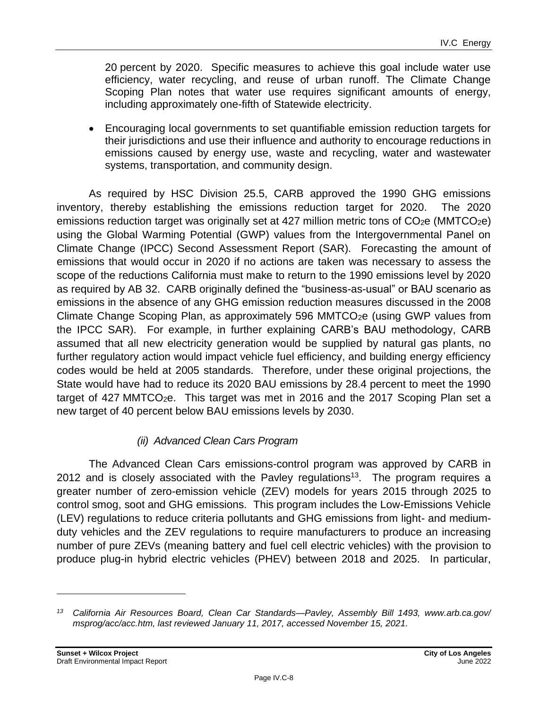20 percent by 2020. Specific measures to achieve this goal include water use efficiency, water recycling, and reuse of urban runoff. The Climate Change Scoping Plan notes that water use requires significant amounts of energy, including approximately one-fifth of Statewide electricity.

• Encouraging local governments to set quantifiable emission reduction targets for their jurisdictions and use their influence and authority to encourage reductions in emissions caused by energy use, waste and recycling, water and wastewater systems, transportation, and community design.

As required by HSC Division 25.5, CARB approved the 1990 GHG emissions inventory, thereby establishing the emissions reduction target for 2020. The 2020 emissions reduction target was originally set at 427 million metric tons of  $CO<sub>2</sub>e$  (MMTCO<sub>2</sub>e) using the Global Warming Potential (GWP) values from the Intergovernmental Panel on Climate Change (IPCC) Second Assessment Report (SAR). Forecasting the amount of emissions that would occur in 2020 if no actions are taken was necessary to assess the scope of the reductions California must make to return to the 1990 emissions level by 2020 as required by AB 32. CARB originally defined the "business-as-usual" or BAU scenario as emissions in the absence of any GHG emission reduction measures discussed in the 2008 Climate Change Scoping Plan, as approximately 596 MMTCO<sub>2</sub>e (using GWP values from the IPCC SAR). For example, in further explaining CARB's BAU methodology, CARB assumed that all new electricity generation would be supplied by natural gas plants, no further regulatory action would impact vehicle fuel efficiency, and building energy efficiency codes would be held at 2005 standards. Therefore, under these original projections, the State would have had to reduce its 2020 BAU emissions by 28.4 percent to meet the 1990 target of 427 MMTCO<sub>2</sub>e. This target was met in 2016 and the 2017 Scoping Plan set a new target of 40 percent below BAU emissions levels by 2030.

# *(ii) Advanced Clean Cars Program*

The Advanced Clean Cars emissions-control program was approved by CARB in 2012 and is closely associated with the Pavley regulations<sup>13</sup>. The program requires a greater number of zero-emission vehicle (ZEV) models for years 2015 through 2025 to control smog, soot and GHG emissions. This program includes the Low-Emissions Vehicle (LEV) regulations to reduce criteria pollutants and GHG emissions from light- and mediumduty vehicles and the ZEV regulations to require manufacturers to produce an increasing number of pure ZEVs (meaning battery and fuel cell electric vehicles) with the provision to produce plug-in hybrid electric vehicles (PHEV) between 2018 and 2025. In particular,

*<sup>13</sup> California Air Resources Board, Clean Car Standards—Pavley, Assembly Bill 1493, www.arb.ca.gov/ msprog/acc/acc.htm, last reviewed January 11, 2017, accessed November 15, 2021.*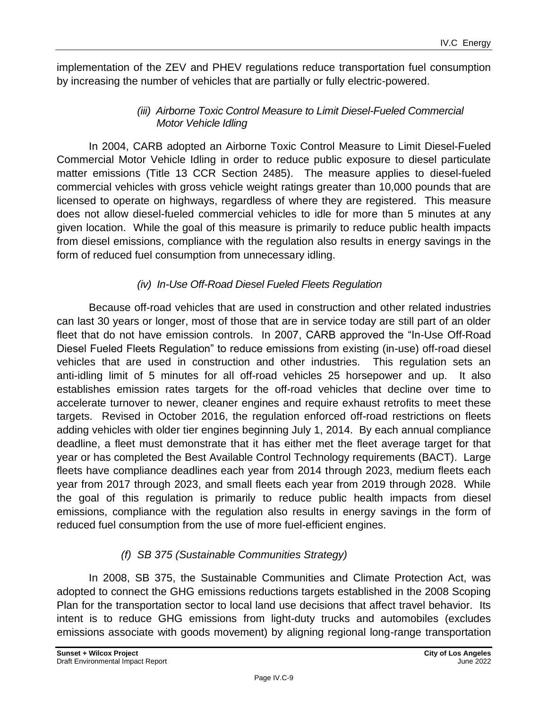implementation of the ZEV and PHEV regulations reduce transportation fuel consumption by increasing the number of vehicles that are partially or fully electric-powered.

# *(iii) Airborne Toxic Control Measure to Limit Diesel-Fueled Commercial Motor Vehicle Idling*

In 2004, CARB adopted an Airborne Toxic Control Measure to Limit Diesel-Fueled Commercial Motor Vehicle Idling in order to reduce public exposure to diesel particulate matter emissions (Title 13 CCR Section 2485). The measure applies to diesel-fueled commercial vehicles with gross vehicle weight ratings greater than 10,000 pounds that are licensed to operate on highways, regardless of where they are registered. This measure does not allow diesel-fueled commercial vehicles to idle for more than 5 minutes at any given location. While the goal of this measure is primarily to reduce public health impacts from diesel emissions, compliance with the regulation also results in energy savings in the form of reduced fuel consumption from unnecessary idling.

# *(iv) In-Use Off-Road Diesel Fueled Fleets Regulation*

Because off-road vehicles that are used in construction and other related industries can last 30 years or longer, most of those that are in service today are still part of an older fleet that do not have emission controls. In 2007, CARB approved the "In-Use Off-Road Diesel Fueled Fleets Regulation" to reduce emissions from existing (in-use) off-road diesel vehicles that are used in construction and other industries. This regulation sets an anti-idling limit of 5 minutes for all off-road vehicles 25 horsepower and up. It also establishes emission rates targets for the off-road vehicles that decline over time to accelerate turnover to newer, cleaner engines and require exhaust retrofits to meet these targets. Revised in October 2016, the regulation enforced off-road restrictions on fleets adding vehicles with older tier engines beginning July 1, 2014. By each annual compliance deadline, a fleet must demonstrate that it has either met the fleet average target for that year or has completed the Best Available Control Technology requirements (BACT). Large fleets have compliance deadlines each year from 2014 through 2023, medium fleets each year from 2017 through 2023, and small fleets each year from 2019 through 2028. While the goal of this regulation is primarily to reduce public health impacts from diesel emissions, compliance with the regulation also results in energy savings in the form of reduced fuel consumption from the use of more fuel-efficient engines.

# *(f) SB 375 (Sustainable Communities Strategy)*

In 2008, SB 375, the Sustainable Communities and Climate Protection Act, was adopted to connect the GHG emissions reductions targets established in the 2008 Scoping Plan for the transportation sector to local land use decisions that affect travel behavior. Its intent is to reduce GHG emissions from light-duty trucks and automobiles (excludes emissions associate with goods movement) by aligning regional long-range transportation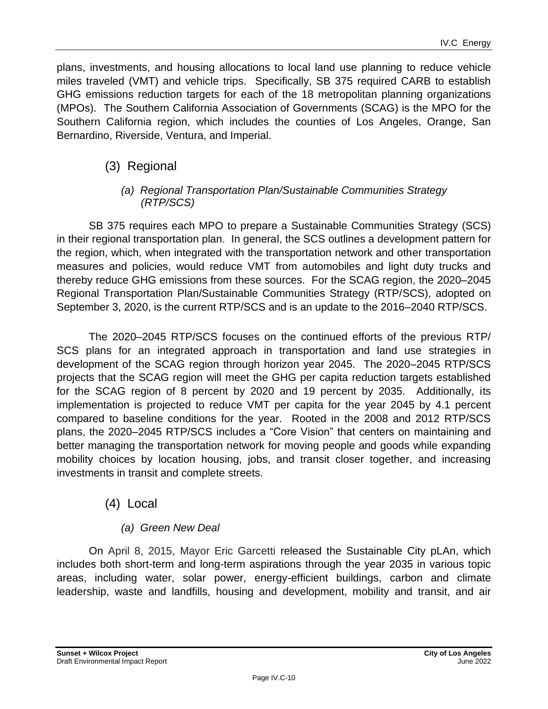plans, investments, and housing allocations to local land use planning to reduce vehicle miles traveled (VMT) and vehicle trips. Specifically, SB 375 required CARB to establish GHG emissions reduction targets for each of the 18 metropolitan planning organizations (MPOs). The Southern California Association of Governments (SCAG) is the MPO for the Southern California region, which includes the counties of Los Angeles, Orange, San Bernardino, Riverside, Ventura, and Imperial.

# (3) Regional

#### *(a) Regional Transportation Plan/Sustainable Communities Strategy (RTP/SCS)*

SB 375 requires each MPO to prepare a Sustainable Communities Strategy (SCS) in their regional transportation plan. In general, the SCS outlines a development pattern for the region, which, when integrated with the transportation network and other transportation measures and policies, would reduce VMT from automobiles and light duty trucks and thereby reduce GHG emissions from these sources. For the SCAG region, the 2020–2045 Regional Transportation Plan/Sustainable Communities Strategy (RTP/SCS), adopted on September 3, 2020, is the current RTP/SCS and is an update to the 2016–2040 RTP/SCS.

The 2020–2045 RTP/SCS focuses on the continued efforts of the previous RTP/ SCS plans for an integrated approach in transportation and land use strategies in development of the SCAG region through horizon year 2045. The 2020–2045 RTP/SCS projects that the SCAG region will meet the GHG per capita reduction targets established for the SCAG region of 8 percent by 2020 and 19 percent by 2035. Additionally, its implementation is projected to reduce VMT per capita for the year 2045 by 4.1 percent compared to baseline conditions for the year. Rooted in the 2008 and 2012 RTP/SCS plans, the 2020–2045 RTP/SCS includes a "Core Vision" that centers on maintaining and better managing the transportation network for moving people and goods while expanding mobility choices by location housing, jobs, and transit closer together, and increasing investments in transit and complete streets.

# (4) Local

# *(a) Green New Deal*

On April 8, 2015, Mayor Eric Garcetti released the Sustainable City pLAn, which includes both short-term and long-term aspirations through the year 2035 in various topic areas, including water, solar power, energy-efficient buildings, carbon and climate leadership, waste and landfills, housing and development, mobility and transit, and air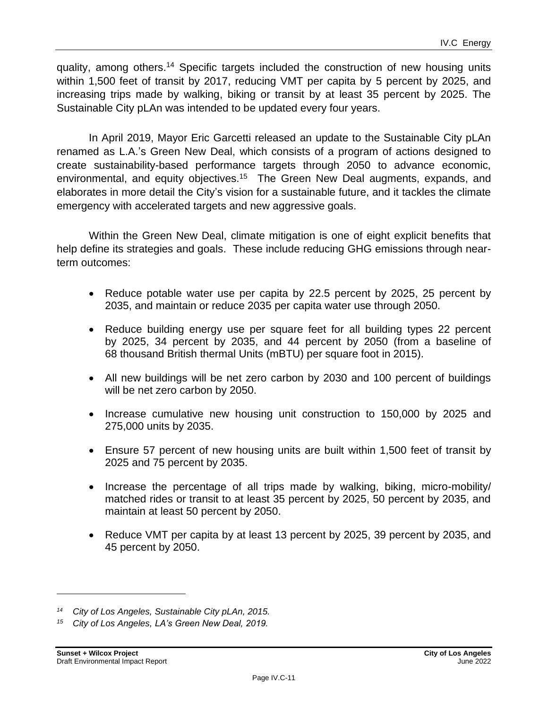quality, among others.<sup>14</sup> Specific targets included the construction of new housing units within 1,500 feet of transit by 2017, reducing VMT per capita by 5 percent by 2025, and increasing trips made by walking, biking or transit by at least 35 percent by 2025. The Sustainable City pLAn was intended to be updated every four years.

In April 2019, Mayor Eric Garcetti released an update to the Sustainable City pLAn renamed as L.A.'s Green New Deal, which consists of a program of actions designed to create sustainability-based performance targets through 2050 to advance economic, environmental, and equity objectives.<sup>15</sup> The Green New Deal augments, expands, and elaborates in more detail the City's vision for a sustainable future, and it tackles the climate emergency with accelerated targets and new aggressive goals.

Within the Green New Deal, climate mitigation is one of eight explicit benefits that help define its strategies and goals. These include reducing GHG emissions through nearterm outcomes:

- Reduce potable water use per capita by 22.5 percent by 2025, 25 percent by 2035, and maintain or reduce 2035 per capita water use through 2050.
- Reduce building energy use per square feet for all building types 22 percent by 2025, 34 percent by 2035, and 44 percent by 2050 (from a baseline of 68 thousand British thermal Units (mBTU) per square foot in 2015).
- All new buildings will be net zero carbon by 2030 and 100 percent of buildings will be net zero carbon by 2050.
- Increase cumulative new housing unit construction to 150,000 by 2025 and 275,000 units by 2035.
- Ensure 57 percent of new housing units are built within 1,500 feet of transit by 2025 and 75 percent by 2035.
- Increase the percentage of all trips made by walking, biking, micro-mobility/ matched rides or transit to at least 35 percent by 2025, 50 percent by 2035, and maintain at least 50 percent by 2050.
- Reduce VMT per capita by at least 13 percent by 2025, 39 percent by 2035, and 45 percent by 2050.

*<sup>14</sup> City of Los Angeles, Sustainable City pLAn, 2015.*

*<sup>15</sup> City of Los Angeles, LA's Green New Deal, 2019.*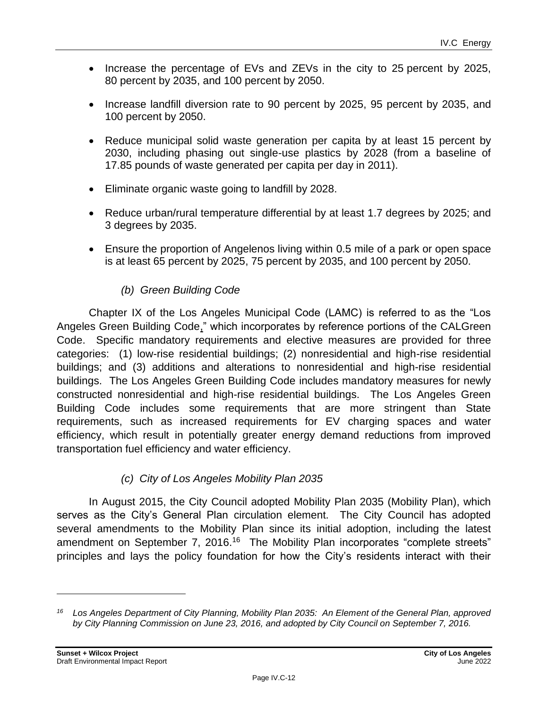- Increase the percentage of EVs and ZEVs in the city to 25 percent by 2025, 80 percent by 2035, and 100 percent by 2050.
- Increase landfill diversion rate to 90 percent by 2025, 95 percent by 2035, and 100 percent by 2050.
- Reduce municipal solid waste generation per capita by at least 15 percent by 2030, including phasing out single-use plastics by 2028 (from a baseline of 17.85 pounds of waste generated per capita per day in 2011).
- Eliminate organic waste going to landfill by 2028.
- Reduce urban/rural temperature differential by at least 1.7 degrees by 2025; and 3 degrees by 2035.
- Ensure the proportion of Angelenos living within 0.5 mile of a park or open space is at least 65 percent by 2025, 75 percent by 2035, and 100 percent by 2050.

# *(b) Green Building Code*

Chapter IX of the Los Angeles Municipal Code (LAMC) is referred to as the "Los Angeles Green Building Code," which incorporates by reference portions of the CALGreen Code. Specific mandatory requirements and elective measures are provided for three categories: (1) low-rise residential buildings; (2) nonresidential and high-rise residential buildings; and (3) additions and alterations to nonresidential and high-rise residential buildings. The Los Angeles Green Building Code includes mandatory measures for newly constructed nonresidential and high-rise residential buildings. The Los Angeles Green Building Code includes some requirements that are more stringent than State requirements, such as increased requirements for EV charging spaces and water efficiency, which result in potentially greater energy demand reductions from improved transportation fuel efficiency and water efficiency.

# *(c) City of Los Angeles Mobility Plan 2035*

In August 2015, the City Council adopted Mobility Plan 2035 (Mobility Plan), which serves as the City's General Plan circulation element. The City Council has adopted several amendments to the Mobility Plan since its initial adoption, including the latest amendment on September 7, 2016.<sup>16</sup> The Mobility Plan incorporates "complete streets" principles and lays the policy foundation for how the City's residents interact with their

*<sup>16</sup> Los Angeles Department of City Planning, Mobility Plan 2035: An Element of the General Plan, approved by City Planning Commission on June 23, 2016, and adopted by City Council on September 7, 2016.*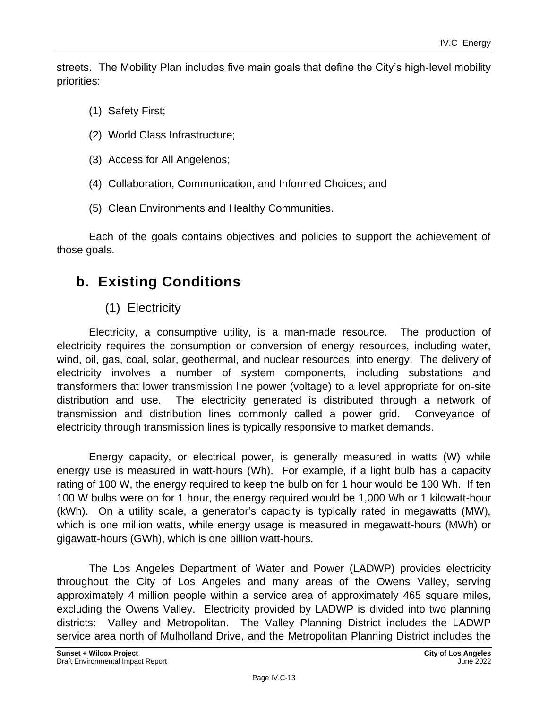streets. The Mobility Plan includes five main goals that define the City's high-level mobility priorities:

- (1) Safety First;
- (2) World Class Infrastructure;
- (3) Access for All Angelenos;
- (4) Collaboration, Communication, and Informed Choices; and
- (5) Clean Environments and Healthy Communities.

Each of the goals contains objectives and policies to support the achievement of those goals.

# **b. Existing Conditions**

# (1) Electricity

Electricity, a consumptive utility, is a man-made resource. The production of electricity requires the consumption or conversion of energy resources, including water, wind, oil, gas, coal, solar, geothermal, and nuclear resources, into energy. The delivery of electricity involves a number of system components, including substations and transformers that lower transmission line power (voltage) to a level appropriate for on-site distribution and use. The electricity generated is distributed through a network of transmission and distribution lines commonly called a power grid. Conveyance of electricity through transmission lines is typically responsive to market demands.

Energy capacity, or electrical power, is generally measured in watts (W) while energy use is measured in watt-hours (Wh). For example, if a light bulb has a capacity rating of 100 W, the energy required to keep the bulb on for 1 hour would be 100 Wh. If ten 100 W bulbs were on for 1 hour, the energy required would be 1,000 Wh or 1 kilowatt-hour (kWh). On a utility scale, a generator's capacity is typically rated in megawatts (MW), which is one million watts, while energy usage is measured in megawatt-hours (MWh) or gigawatt-hours (GWh), which is one billion watt-hours.

The Los Angeles Department of Water and Power (LADWP) provides electricity throughout the City of Los Angeles and many areas of the Owens Valley, serving approximately 4 million people within a service area of approximately 465 square miles, excluding the Owens Valley. Electricity provided by LADWP is divided into two planning districts: Valley and Metropolitan. The Valley Planning District includes the LADWP service area north of Mulholland Drive, and the Metropolitan Planning District includes the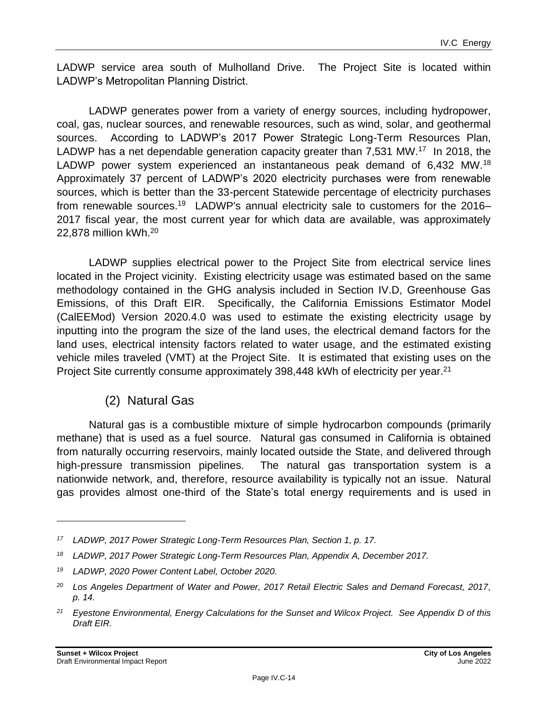LADWP service area south of Mulholland Drive. The Project Site is located within LADWP's Metropolitan Planning District.

LADWP generates power from a variety of energy sources, including hydropower, coal, gas, nuclear sources, and renewable resources, such as wind, solar, and geothermal sources. According to LADWP's 2017 Power Strategic Long-Term Resources Plan, LADWP has a net dependable generation capacity greater than 7,531 MW.<sup>17</sup> In 2018, the LADWP power system experienced an instantaneous peak demand of 6,432 MW.<sup>18</sup> Approximately 37 percent of LADWP's 2020 electricity purchases were from renewable sources, which is better than the 33-percent Statewide percentage of electricity purchases from renewable sources.<sup>19</sup> LADWP's annual electricity sale to customers for the 2016– 2017 fiscal year, the most current year for which data are available, was approximately 22,878 million kWh.<sup>20</sup>

LADWP supplies electrical power to the Project Site from electrical service lines located in the Project vicinity. Existing electricity usage was estimated based on the same methodology contained in the GHG analysis included in Section IV.D, Greenhouse Gas Emissions, of this Draft EIR. Specifically, the California Emissions Estimator Model (CalEEMod) Version 2020.4.0 was used to estimate the existing electricity usage by inputting into the program the size of the land uses, the electrical demand factors for the land uses, electrical intensity factors related to water usage, and the estimated existing vehicle miles traveled (VMT) at the Project Site. It is estimated that existing uses on the Project Site currently consume approximately 398,448 kWh of electricity per year.<sup>21</sup>

# (2) Natural Gas

Natural gas is a combustible mixture of simple hydrocarbon compounds (primarily methane) that is used as a fuel source. Natural gas consumed in California is obtained from naturally occurring reservoirs, mainly located outside the State, and delivered through high-pressure transmission pipelines. The natural gas transportation system is a nationwide network, and, therefore, resource availability is typically not an issue. Natural gas provides almost one-third of the State's total energy requirements and is used in

*<sup>17</sup> LADWP, 2017 Power Strategic Long-Term Resources Plan, Section 1, p. 17.*

*<sup>18</sup> LADWP, 2017 Power Strategic Long-Term Resources Plan, Appendix A, December 2017.*

*<sup>19</sup> LADWP, 2020 Power Content Label, October 2020.*

*<sup>20</sup> Los Angeles Department of Water and Power, 2017 Retail Electric Sales and Demand Forecast, 2017, p. 14.*

*<sup>21</sup> Eyestone Environmental, Energy Calculations for the Sunset and Wilcox Project. See Appendix D of this Draft EIR.*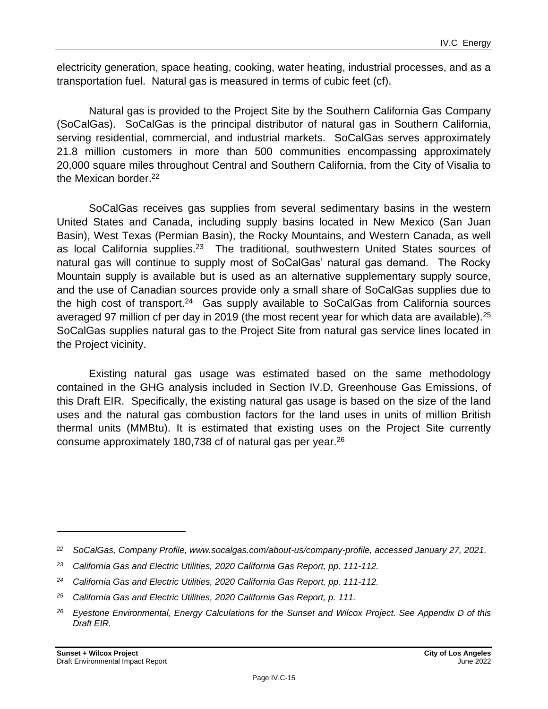electricity generation, space heating, cooking, water heating, industrial processes, and as a transportation fuel. Natural gas is measured in terms of cubic feet (cf).

Natural gas is provided to the Project Site by the Southern California Gas Company (SoCalGas). SoCalGas is the principal distributor of natural gas in Southern California, serving residential, commercial, and industrial markets. SoCalGas serves approximately 21.8 million customers in more than 500 communities encompassing approximately 20,000 square miles throughout Central and Southern California, from the City of Visalia to the Mexican border.<sup>22</sup>

SoCalGas receives gas supplies from several sedimentary basins in the western United States and Canada, including supply basins located in New Mexico (San Juan Basin), West Texas (Permian Basin), the Rocky Mountains, and Western Canada, as well as local California supplies.<sup>23</sup> The traditional, southwestern United States sources of natural gas will continue to supply most of SoCalGas' natural gas demand. The Rocky Mountain supply is available but is used as an alternative supplementary supply source, and the use of Canadian sources provide only a small share of SoCalGas supplies due to the high cost of transport.<sup>24</sup> Gas supply available to SoCalGas from California sources averaged 97 million cf per day in 2019 (the most recent year for which data are available).<sup>25</sup> SoCalGas supplies natural gas to the Project Site from natural gas service lines located in the Project vicinity.

Existing natural gas usage was estimated based on the same methodology contained in the GHG analysis included in Section IV.D, Greenhouse Gas Emissions, of this Draft EIR. Specifically, the existing natural gas usage is based on the size of the land uses and the natural gas combustion factors for the land uses in units of million British thermal units (MMBtu). It is estimated that existing uses on the Project Site currently consume approximately 180,738 cf of natural gas per year.<sup>26</sup>

*<sup>22</sup> SoCalGas, Company Profile, www.socalgas.com/about-us/company-profile, accessed January 27, 2021.*

*<sup>23</sup> California Gas and Electric Utilities, 2020 California Gas Report, pp. 111-112.*

*<sup>24</sup> California Gas and Electric Utilities, 2020 California Gas Report, pp. 111-112.*

*<sup>25</sup> California Gas and Electric Utilities, 2020 California Gas Report, p. 111.*

*<sup>26</sup> Eyestone Environmental, Energy Calculations for the Sunset and Wilcox Project. See Appendix D of this Draft EIR.*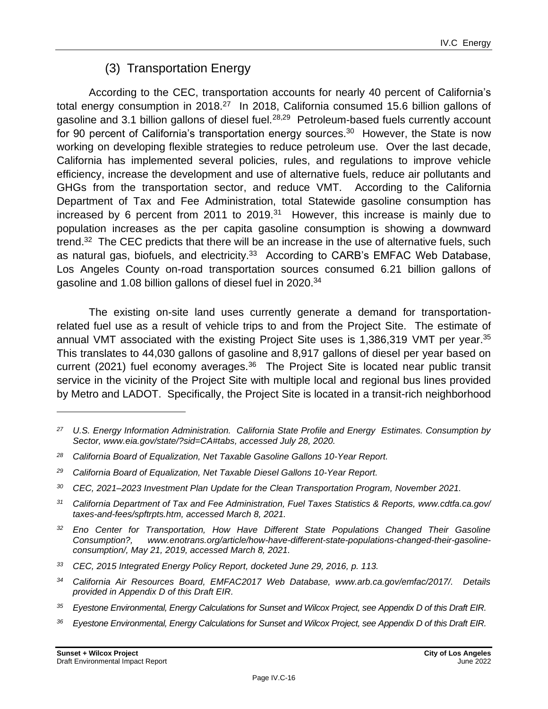# (3) Transportation Energy

According to the CEC, transportation accounts for nearly 40 percent of California's total energy consumption in 2018.<sup>27</sup> In 2018, California consumed 15.6 billion gallons of gasoline and 3.1 billion gallons of diesel fuel.<sup>28,29</sup> Petroleum-based fuels currently account for 90 percent of California's transportation energy sources.<sup>30</sup> However, the State is now working on developing flexible strategies to reduce petroleum use. Over the last decade, California has implemented several policies, rules, and regulations to improve vehicle efficiency, increase the development and use of alternative fuels, reduce air pollutants and GHGs from the transportation sector, and reduce VMT. According to the California Department of Tax and Fee Administration, total Statewide gasoline consumption has increased by 6 percent from 2011 to 2019. $31$  However, this increase is mainly due to population increases as the per capita gasoline consumption is showing a downward trend.<sup>32</sup> The CEC predicts that there will be an increase in the use of alternative fuels, such as natural gas, biofuels, and electricity.<sup>33</sup> According to CARB's EMFAC Web Database, Los Angeles County on-road transportation sources consumed 6.21 billion gallons of gasoline and 1.08 billion gallons of diesel fuel in 2020.<sup>34</sup>

The existing on-site land uses currently generate a demand for transportationrelated fuel use as a result of vehicle trips to and from the Project Site. The estimate of annual VMT associated with the existing Project Site uses is 1,386,319 VMT per year.<sup>35</sup> This translates to 44,030 gallons of gasoline and 8,917 gallons of diesel per year based on current (2021) fuel economy averages.<sup>36</sup> The Project Site is located near public transit service in the vicinity of the Project Site with multiple local and regional bus lines provided by Metro and LADOT. Specifically, the Project Site is located in a transit-rich neighborhood

*<sup>36</sup> Eyestone Environmental, Energy Calculations for Sunset and Wilcox Project, see Appendix D of this Draft EIR.*

*<sup>27</sup> U.S. Energy Information Administration. California State Profile and Energy Estimates. Consumption by Sector, www.eia.gov/state/?sid=CA#tabs, accessed July 28, 2020.*

*<sup>28</sup> California Board of Equalization, Net Taxable Gasoline Gallons 10-Year Report.*

*<sup>29</sup> California Board of Equalization, Net Taxable Diesel Gallons 10-Year Report.*

*<sup>30</sup> CEC, 2021–2023 Investment Plan Update for the Clean Transportation Program, November 2021.*

*<sup>31</sup> California Department of Tax and Fee Administration, Fuel Taxes Statistics & Reports, www.cdtfa.ca.gov/ taxes-and-fees/spftrpts.htm, accessed March 8, 2021.*

*<sup>32</sup> Eno Center for Transportation, How Have Different State Populations Changed Their Gasoline Consumption?, www.enotrans.org/article/how-have-different-state-populations-changed-their-gasolineconsumption/, May 21, 2019, accessed March 8, 2021.*

*<sup>33</sup> CEC, 2015 Integrated Energy Policy Report, docketed June 29, 2016, p. 113.*

*<sup>34</sup> California Air Resources Board, EMFAC2017 Web Database, www.arb.ca.gov/emfac/2017/. Details provided in Appendix D of this Draft EIR.*

*<sup>35</sup> Eyestone Environmental, Energy Calculations for Sunset and Wilcox Project, see Appendix D of this Draft EIR.*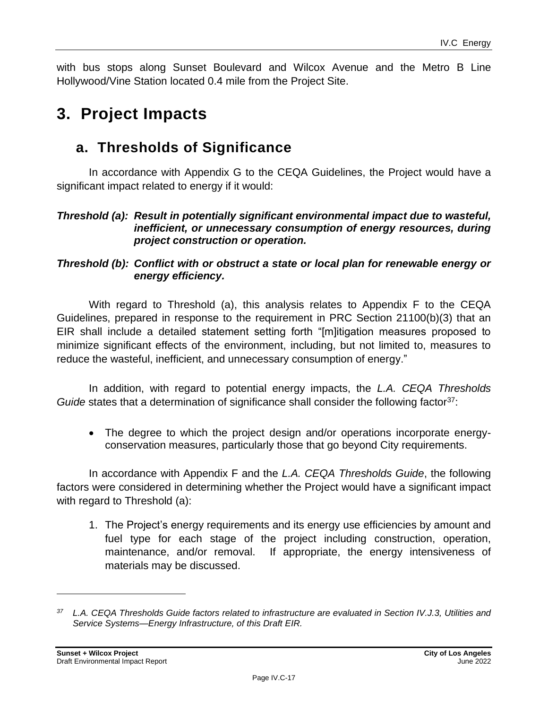with bus stops along Sunset Boulevard and Wilcox Avenue and the Metro B Line Hollywood/Vine Station located 0.4 mile from the Project Site.

# **3. Project Impacts**

# **a. Thresholds of Significance**

In accordance with Appendix G to the CEQA Guidelines, the Project would have a significant impact related to energy if it would:

#### *Threshold (a): Result in potentially significant environmental impact due to wasteful, inefficient, or unnecessary consumption of energy resources, during project construction or operation.*

# *Threshold (b): Conflict with or obstruct a state or local plan for renewable energy or energy efficiency.*

With regard to Threshold (a), this analysis relates to Appendix F to the CEQA Guidelines, prepared in response to the requirement in PRC Section 21100(b)(3) that an EIR shall include a detailed statement setting forth "[m]itigation measures proposed to minimize significant effects of the environment, including, but not limited to, measures to reduce the wasteful, inefficient, and unnecessary consumption of energy."

In addition, with regard to potential energy impacts, the *L.A. CEQA Thresholds Guide* states that a determination of significance shall consider the following factor<sup>37</sup>:

• The degree to which the project design and/or operations incorporate energyconservation measures, particularly those that go beyond City requirements.

In accordance with Appendix F and the *L.A. CEQA Thresholds Guide*, the following factors were considered in determining whether the Project would have a significant impact with regard to Threshold (a):

1. The Project's energy requirements and its energy use efficiencies by amount and fuel type for each stage of the project including construction, operation, maintenance, and/or removal. If appropriate, the energy intensiveness of materials may be discussed.

*<sup>37</sup> L.A. CEQA Thresholds Guide factors related to infrastructure are evaluated in Section IV.J.3, Utilities and Service Systems—Energy Infrastructure, of this Draft EIR.*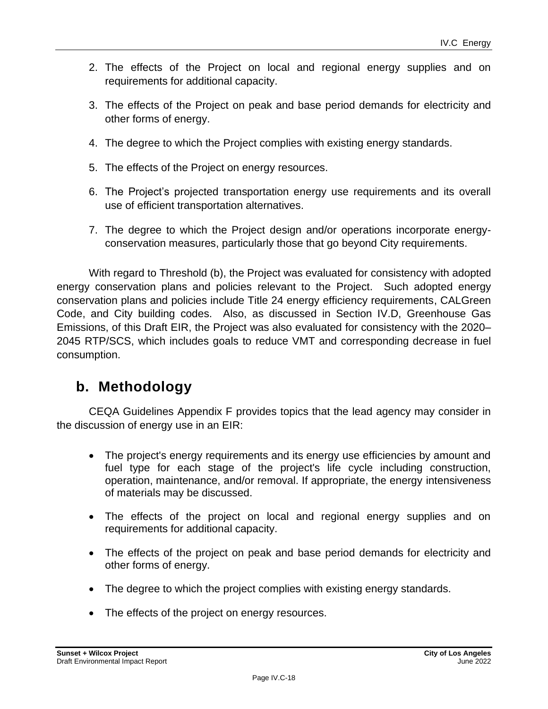- 2. The effects of the Project on local and regional energy supplies and on requirements for additional capacity.
- 3. The effects of the Project on peak and base period demands for electricity and other forms of energy.
- 4. The degree to which the Project complies with existing energy standards.
- 5. The effects of the Project on energy resources.
- 6. The Project's projected transportation energy use requirements and its overall use of efficient transportation alternatives.
- 7. The degree to which the Project design and/or operations incorporate energyconservation measures, particularly those that go beyond City requirements.

With regard to Threshold (b), the Project was evaluated for consistency with adopted energy conservation plans and policies relevant to the Project. Such adopted energy conservation plans and policies include Title 24 energy efficiency requirements, CALGreen Code, and City building codes. Also, as discussed in Section IV.D, Greenhouse Gas Emissions, of this Draft EIR, the Project was also evaluated for consistency with the 2020– 2045 RTP/SCS, which includes goals to reduce VMT and corresponding decrease in fuel consumption.

# **b. Methodology**

CEQA Guidelines Appendix F provides topics that the lead agency may consider in the discussion of energy use in an EIR:

- The project's energy requirements and its energy use efficiencies by amount and fuel type for each stage of the project's life cycle including construction, operation, maintenance, and/or removal. If appropriate, the energy intensiveness of materials may be discussed.
- The effects of the project on local and regional energy supplies and on requirements for additional capacity.
- The effects of the project on peak and base period demands for electricity and other forms of energy.
- The degree to which the project complies with existing energy standards.
- The effects of the project on energy resources.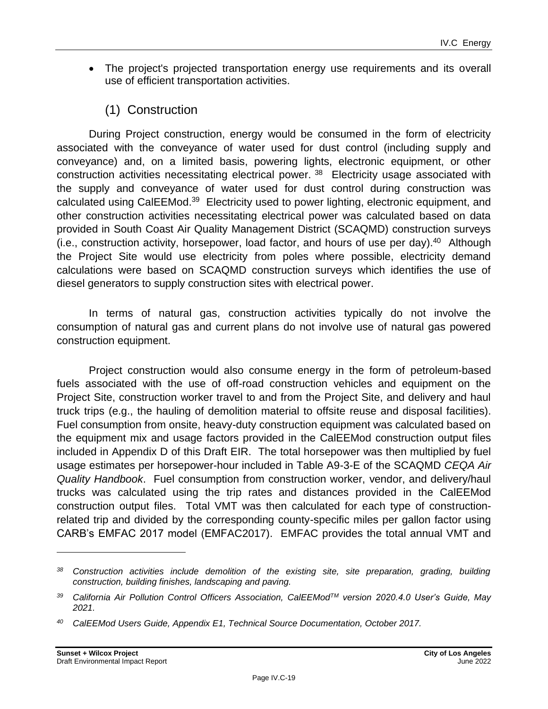- The project's projected transportation energy use requirements and its overall use of efficient transportation activities.
	- (1) Construction

During Project construction, energy would be consumed in the form of electricity associated with the conveyance of water used for dust control (including supply and conveyance) and, on a limited basis, powering lights, electronic equipment, or other construction activities necessitating electrical power.<sup>38</sup> Electricity usage associated with the supply and conveyance of water used for dust control during construction was calculated using CalEEMod.<sup>39</sup> Electricity used to power lighting, electronic equipment, and other construction activities necessitating electrical power was calculated based on data provided in South Coast Air Quality Management District (SCAQMD) construction surveys  $(i.e.,$  construction activity, horsepower, load factor, and hours of use per day). $40$  Although the Project Site would use electricity from poles where possible, electricity demand calculations were based on SCAQMD construction surveys which identifies the use of diesel generators to supply construction sites with electrical power.

In terms of natural gas, construction activities typically do not involve the consumption of natural gas and current plans do not involve use of natural gas powered construction equipment.

Project construction would also consume energy in the form of petroleum-based fuels associated with the use of off-road construction vehicles and equipment on the Project Site, construction worker travel to and from the Project Site, and delivery and haul truck trips (e.g., the hauling of demolition material to offsite reuse and disposal facilities). Fuel consumption from onsite, heavy-duty construction equipment was calculated based on the equipment mix and usage factors provided in the CalEEMod construction output files included in Appendix D of this Draft EIR. The total horsepower was then multiplied by fuel usage estimates per horsepower-hour included in Table A9-3-E of the SCAQMD *CEQA Air Quality Handbook*. Fuel consumption from construction worker, vendor, and delivery/haul trucks was calculated using the trip rates and distances provided in the CalEEMod construction output files. Total VMT was then calculated for each type of constructionrelated trip and divided by the corresponding county-specific miles per gallon factor using CARB's EMFAC 2017 model (EMFAC2017). EMFAC provides the total annual VMT and

*<sup>38</sup> Construction activities include demolition of the existing site, site preparation, grading, building construction, building finishes, landscaping and paving.*

*<sup>39</sup> California Air Pollution Control Officers Association, CalEEModTM version 2020.4.0 User's Guide, May 2021.*

*<sup>40</sup> CalEEMod Users Guide, Appendix E1, Technical Source Documentation, October 2017.*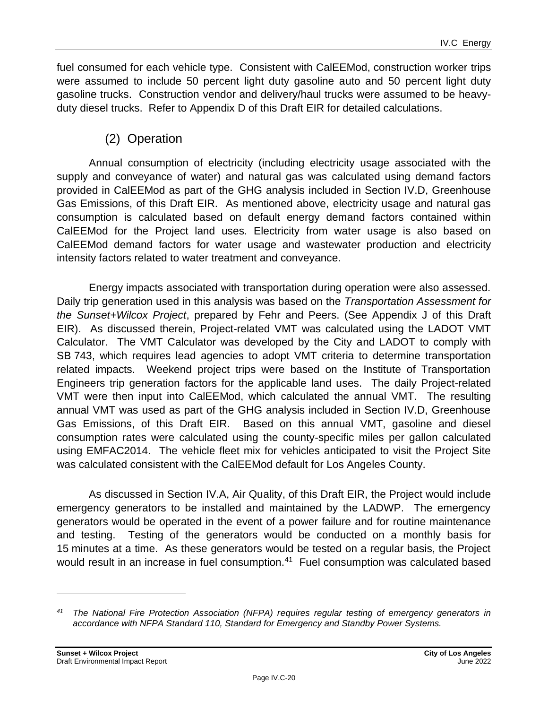fuel consumed for each vehicle type. Consistent with CalEEMod, construction worker trips were assumed to include 50 percent light duty gasoline auto and 50 percent light duty gasoline trucks. Construction vendor and delivery/haul trucks were assumed to be heavyduty diesel trucks. Refer to Appendix D of this Draft EIR for detailed calculations.

# (2) Operation

Annual consumption of electricity (including electricity usage associated with the supply and conveyance of water) and natural gas was calculated using demand factors provided in CalEEMod as part of the GHG analysis included in Section IV.D, Greenhouse Gas Emissions, of this Draft EIR. As mentioned above, electricity usage and natural gas consumption is calculated based on default energy demand factors contained within CalEEMod for the Project land uses. Electricity from water usage is also based on CalEEMod demand factors for water usage and wastewater production and electricity intensity factors related to water treatment and conveyance.

Energy impacts associated with transportation during operation were also assessed. Daily trip generation used in this analysis was based on the *Transportation Assessment for the Sunset+Wilcox Project*, prepared by Fehr and Peers. (See Appendix J of this Draft EIR). As discussed therein, Project-related VMT was calculated using the LADOT VMT Calculator. The VMT Calculator was developed by the City and LADOT to comply with SB 743, which requires lead agencies to adopt VMT criteria to determine transportation related impacts. Weekend project trips were based on the Institute of Transportation Engineers trip generation factors for the applicable land uses. The daily Project-related VMT were then input into CalEEMod, which calculated the annual VMT. The resulting annual VMT was used as part of the GHG analysis included in Section IV.D, Greenhouse Gas Emissions, of this Draft EIR. Based on this annual VMT, gasoline and diesel consumption rates were calculated using the county-specific miles per gallon calculated using EMFAC2014. The vehicle fleet mix for vehicles anticipated to visit the Project Site was calculated consistent with the CalEEMod default for Los Angeles County.

As discussed in Section IV.A, Air Quality, of this Draft EIR, the Project would include emergency generators to be installed and maintained by the LADWP. The emergency generators would be operated in the event of a power failure and for routine maintenance and testing. Testing of the generators would be conducted on a monthly basis for 15 minutes at a time. As these generators would be tested on a regular basis, the Project would result in an increase in fuel consumption.<sup>41</sup> Fuel consumption was calculated based

*<sup>41</sup> The National Fire Protection Association (NFPA) requires regular testing of emergency generators in accordance with NFPA Standard 110, Standard for Emergency and Standby Power Systems.*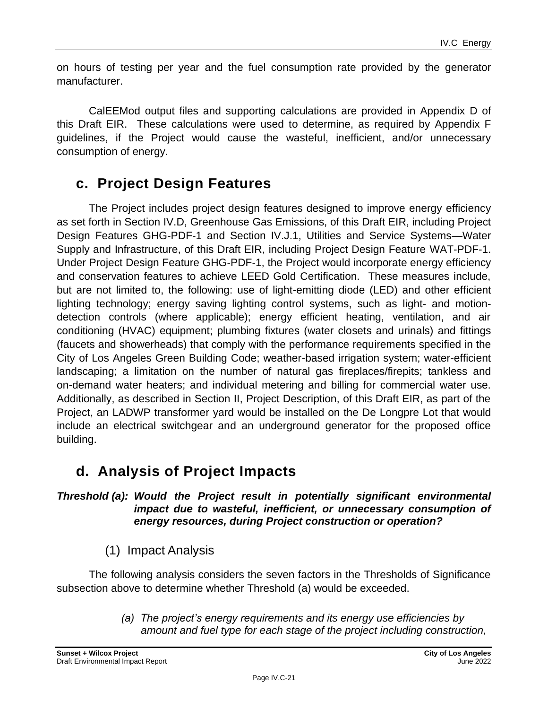on hours of testing per year and the fuel consumption rate provided by the generator manufacturer.

CalEEMod output files and supporting calculations are provided in Appendix D of this Draft EIR. These calculations were used to determine, as required by Appendix F guidelines, if the Project would cause the wasteful, inefficient, and/or unnecessary consumption of energy.

# **c. Project Design Features**

The Project includes project design features designed to improve energy efficiency as set forth in Section IV.D, Greenhouse Gas Emissions, of this Draft EIR, including Project Design Features GHG-PDF-1 and Section IV.J.1, Utilities and Service Systems—Water Supply and Infrastructure, of this Draft EIR, including Project Design Feature WAT-PDF-1. Under Project Design Feature GHG-PDF-1, the Project would incorporate energy efficiency and conservation features to achieve LEED Gold Certification. These measures include, but are not limited to, the following: use of light-emitting diode (LED) and other efficient lighting technology; energy saving lighting control systems, such as light- and motiondetection controls (where applicable); energy efficient heating, ventilation, and air conditioning (HVAC) equipment; plumbing fixtures (water closets and urinals) and fittings (faucets and showerheads) that comply with the performance requirements specified in the City of Los Angeles Green Building Code; weather-based irrigation system; water-efficient landscaping; a limitation on the number of natural gas fireplaces/firepits; tankless and on-demand water heaters; and individual metering and billing for commercial water use. Additionally, as described in Section II, Project Description, of this Draft EIR, as part of the Project, an LADWP transformer yard would be installed on the De Longpre Lot that would include an electrical switchgear and an underground generator for the proposed office building.

# **d. Analysis of Project Impacts**

*Threshold (a): Would the Project result in potentially significant environmental impact due to wasteful, inefficient, or unnecessary consumption of energy resources, during Project construction or operation?*

(1) Impact Analysis

The following analysis considers the seven factors in the Thresholds of Significance subsection above to determine whether Threshold (a) would be exceeded.

> *(a) The project's energy requirements and its energy use efficiencies by amount and fuel type for each stage of the project including construction,*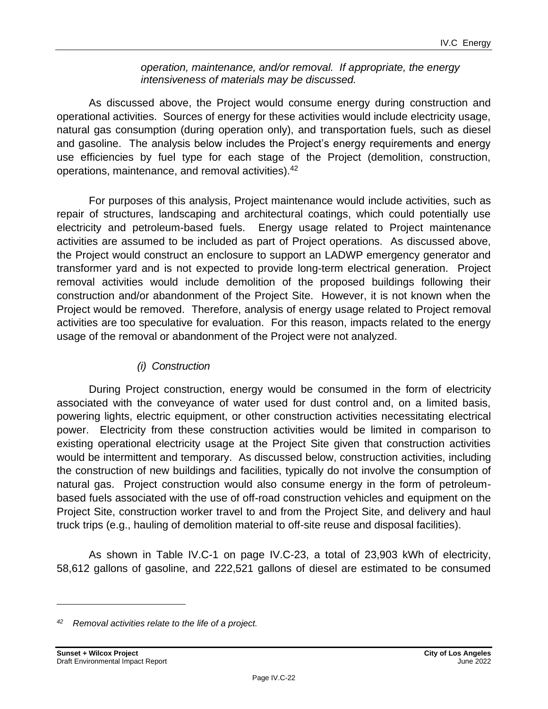#### *operation, maintenance, and/or removal. If appropriate, the energy intensiveness of materials may be discussed.*

As discussed above, the Project would consume energy during construction and operational activities. Sources of energy for these activities would include electricity usage, natural gas consumption (during operation only), and transportation fuels, such as diesel and gasoline. The analysis below includes the Project's energy requirements and energy use efficiencies by fuel type for each stage of the Project (demolition, construction, operations, maintenance, and removal activities).<sup>42</sup>

For purposes of this analysis, Project maintenance would include activities, such as repair of structures, landscaping and architectural coatings, which could potentially use electricity and petroleum-based fuels. Energy usage related to Project maintenance activities are assumed to be included as part of Project operations. As discussed above, the Project would construct an enclosure to support an LADWP emergency generator and transformer yard and is not expected to provide long-term electrical generation. Project removal activities would include demolition of the proposed buildings following their construction and/or abandonment of the Project Site. However, it is not known when the Project would be removed. Therefore, analysis of energy usage related to Project removal activities are too speculative for evaluation. For this reason, impacts related to the energy usage of the removal or abandonment of the Project were not analyzed.

# *(i) Construction*

During Project construction, energy would be consumed in the form of electricity associated with the conveyance of water used for dust control and, on a limited basis, powering lights, electric equipment, or other construction activities necessitating electrical power. Electricity from these construction activities would be limited in comparison to existing operational electricity usage at the Project Site given that construction activities would be intermittent and temporary. As discussed below, construction activities, including the construction of new buildings and facilities, typically do not involve the consumption of natural gas. Project construction would also consume energy in the form of petroleumbased fuels associated with the use of off-road construction vehicles and equipment on the Project Site, construction worker travel to and from the Project Site, and delivery and haul truck trips (e.g., hauling of demolition material to off-site reuse and disposal facilities).

As shown in Table IV.C-1 on page [IV.C-23,](#page-22-0) a total of 23,903 kWh of electricity, 58,612 gallons of gasoline, and 222,521 gallons of diesel are estimated to be consumed

*<sup>42</sup> Removal activities relate to the life of a project.*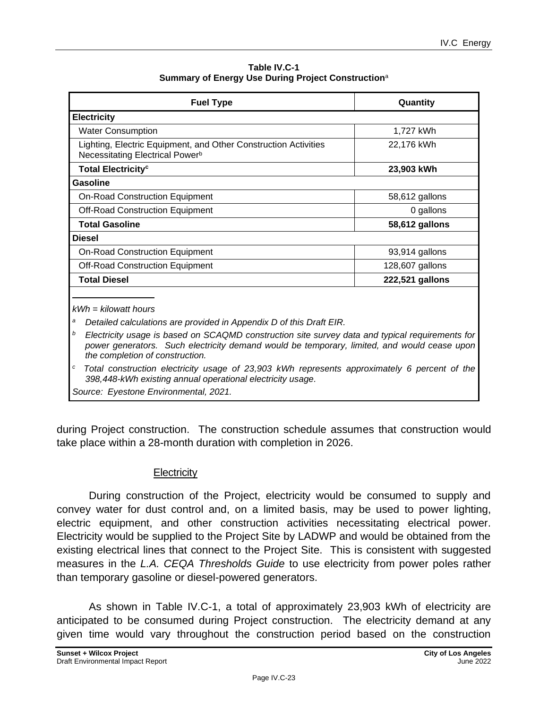**Table IV.C-1 Summary of Energy Use During Project Construction**<sup>a</sup>

<span id="page-22-0"></span>

| <b>Fuel Type</b>                                                                                               | Quantity        |
|----------------------------------------------------------------------------------------------------------------|-----------------|
| <b>Electricity</b>                                                                                             |                 |
| <b>Water Consumption</b>                                                                                       | 1,727 kWh       |
| Lighting, Electric Equipment, and Other Construction Activities<br>Necessitating Electrical Power <sup>b</sup> | 22,176 kWh      |
| <b>Total Electricity<sup>c</sup></b>                                                                           | 23,903 kWh      |
| <b>Gasoline</b>                                                                                                |                 |
| <b>On-Road Construction Equipment</b>                                                                          | 58,612 gallons  |
| <b>Off-Road Construction Equipment</b>                                                                         | 0 gallons       |
| <b>Total Gasoline</b>                                                                                          | 58,612 gallons  |
| <b>Diesel</b>                                                                                                  |                 |
| <b>On-Road Construction Equipment</b>                                                                          | 93,914 gallons  |
| <b>Off-Road Construction Equipment</b>                                                                         | 128,607 gallons |
| <b>Total Diesel</b>                                                                                            | 222,521 gallons |

*<sup>a</sup> Detailed calculations are provided in Appendix D of this Draft EIR.*

*<sup>b</sup>Electricity usage is based on SCAQMD construction site survey data and typical requirements for power generators. Such electricity demand would be temporary, limited, and would cease upon the completion of construction.*

*<sup>c</sup>Total construction electricity usage of 23,903 kWh represents approximately 6 percent of the 398,448-kWh existing annual operational electricity usage.*

*Source: Eyestone Environmental, 2021.* 

during Project construction. The construction schedule assumes that construction would take place within a 28-month duration with completion in 2026.

#### **Electricity**

During construction of the Project, electricity would be consumed to supply and convey water for dust control and, on a limited basis, may be used to power lighting, electric equipment, and other construction activities necessitating electrical power. Electricity would be supplied to the Project Site by LADWP and would be obtained from the existing electrical lines that connect to the Project Site. This is consistent with suggested measures in the *L.A. CEQA Thresholds Guide* to use electricity from power poles rather than temporary gasoline or diesel-powered generators.

As shown in Table IV.C-1, a total of approximately 23,903 kWh of electricity are anticipated to be consumed during Project construction. The electricity demand at any given time would vary throughout the construction period based on the construction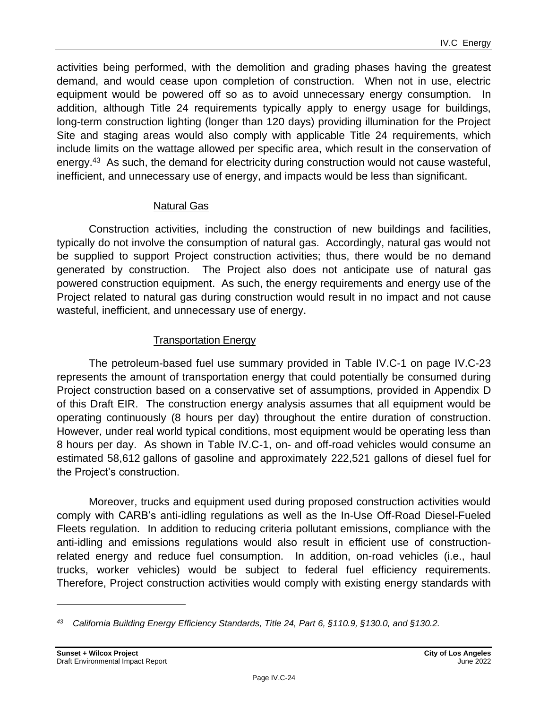activities being performed, with the demolition and grading phases having the greatest demand, and would cease upon completion of construction. When not in use, electric equipment would be powered off so as to avoid unnecessary energy consumption. In addition, although Title 24 requirements typically apply to energy usage for buildings, long-term construction lighting (longer than 120 days) providing illumination for the Project Site and staging areas would also comply with applicable Title 24 requirements, which include limits on the wattage allowed per specific area, which result in the conservation of energy.<sup>43</sup> As such, the demand for electricity during construction would not cause wasteful, inefficient, and unnecessary use of energy, and impacts would be less than significant.

#### Natural Gas

Construction activities, including the construction of new buildings and facilities, typically do not involve the consumption of natural gas. Accordingly, natural gas would not be supplied to support Project construction activities; thus, there would be no demand generated by construction. The Project also does not anticipate use of natural gas powered construction equipment. As such, the energy requirements and energy use of the Project related to natural gas during construction would result in no impact and not cause wasteful, inefficient, and unnecessary use of energy.

# Transportation Energy

The petroleum-based fuel use summary provided in Table IV.C-1 on page [IV.C-23](#page-22-0) represents the amount of transportation energy that could potentially be consumed during Project construction based on a conservative set of assumptions, provided in Appendix D of this Draft EIR. The construction energy analysis assumes that all equipment would be operating continuously (8 hours per day) throughout the entire duration of construction. However, under real world typical conditions, most equipment would be operating less than 8 hours per day. As shown in Table IV.C-1, on- and off-road vehicles would consume an estimated 58,612 gallons of gasoline and approximately 222,521 gallons of diesel fuel for the Project's construction.

Moreover, trucks and equipment used during proposed construction activities would comply with CARB's anti-idling regulations as well as the In-Use Off-Road Diesel-Fueled Fleets regulation. In addition to reducing criteria pollutant emissions, compliance with the anti-idling and emissions regulations would also result in efficient use of constructionrelated energy and reduce fuel consumption. In addition, on-road vehicles (i.e., haul trucks, worker vehicles) would be subject to federal fuel efficiency requirements. Therefore, Project construction activities would comply with existing energy standards with

*<sup>43</sup> California Building Energy Efficiency Standards, Title 24, Part 6, §110.9, §130.0, and §130.2.*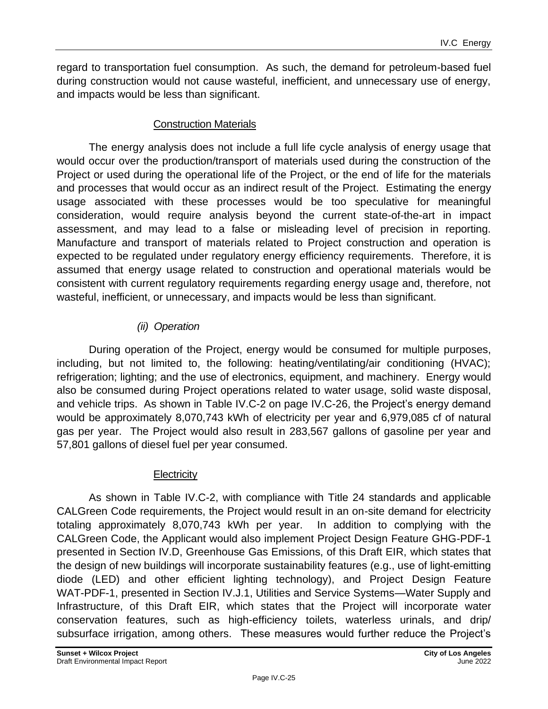regard to transportation fuel consumption. As such, the demand for petroleum-based fuel during construction would not cause wasteful, inefficient, and unnecessary use of energy, and impacts would be less than significant.

# Construction Materials

The energy analysis does not include a full life cycle analysis of energy usage that would occur over the production/transport of materials used during the construction of the Project or used during the operational life of the Project, or the end of life for the materials and processes that would occur as an indirect result of the Project. Estimating the energy usage associated with these processes would be too speculative for meaningful consideration, would require analysis beyond the current state-of-the-art in impact assessment, and may lead to a false or misleading level of precision in reporting. Manufacture and transport of materials related to Project construction and operation is expected to be regulated under regulatory energy efficiency requirements. Therefore, it is assumed that energy usage related to construction and operational materials would be consistent with current regulatory requirements regarding energy usage and, therefore, not wasteful, inefficient, or unnecessary, and impacts would be less than significant.

# *(ii) Operation*

During operation of the Project, energy would be consumed for multiple purposes, including, but not limited to, the following: heating/ventilating/air conditioning (HVAC); refrigeration; lighting; and the use of electronics, equipment, and machinery. Energy would also be consumed during Project operations related to water usage, solid waste disposal, and vehicle trips. As shown in Table IV.C-2 on page IV.C-26, the Project's energy demand would be approximately 8,070,743 kWh of electricity per year and 6,979,085 cf of natural gas per year. The Project would also result in 283,567 gallons of gasoline per year and 57,801 gallons of diesel fuel per year consumed.

# **Electricity**

As shown in Table IV.C-2, with compliance with Title 24 standards and applicable CALGreen Code requirements, the Project would result in an on-site demand for electricity totaling approximately 8,070,743 kWh per year. In addition to complying with the CALGreen Code, the Applicant would also implement Project Design Feature GHG-PDF-1 presented in Section IV.D, Greenhouse Gas Emissions, of this Draft EIR, which states that the design of new buildings will incorporate sustainability features (e.g., use of light-emitting diode (LED) and other efficient lighting technology), and Project Design Feature WAT-PDF-1, presented in Section IV.J.1, Utilities and Service Systems—Water Supply and Infrastructure, of this Draft EIR, which states that the Project will incorporate water conservation features, such as high-efficiency toilets, waterless urinals, and drip/ subsurface irrigation, among others. These measures would further reduce the Project's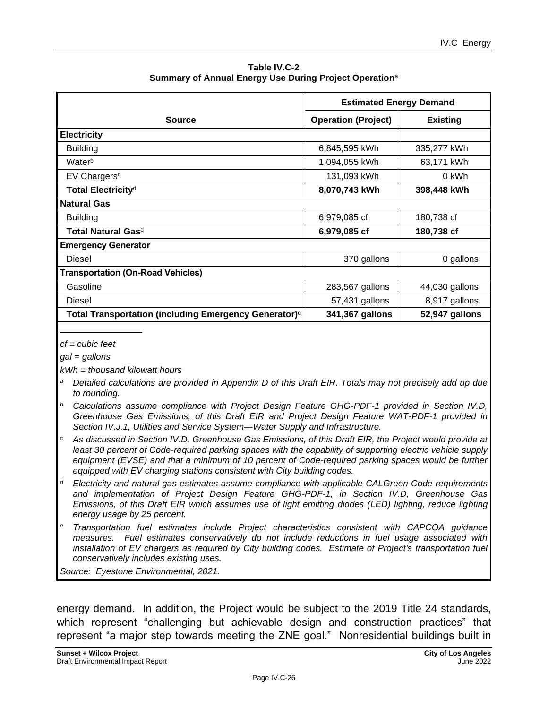**Table IV.C-2 Summary of Annual Energy Use During Project Operation**<sup>a</sup>

|                                                                   | <b>Estimated Energy Demand</b> |                 |
|-------------------------------------------------------------------|--------------------------------|-----------------|
| <b>Source</b>                                                     | <b>Operation (Project)</b>     | <b>Existing</b> |
| <b>Electricity</b>                                                |                                |                 |
| <b>Building</b>                                                   | 6,845,595 kWh                  | 335,277 kWh     |
| Waterb                                                            | 1,094,055 kWh                  | 63,171 kWh      |
| EV Chargers <sup>c</sup>                                          | 131,093 kWh                    | 0 kWh           |
| Total Electricity <sup>d</sup>                                    | 8,070,743 kWh                  | 398,448 kWh     |
| <b>Natural Gas</b>                                                |                                |                 |
| <b>Building</b>                                                   | 6,979,085 cf                   | 180,738 cf      |
| Total Natural Gas <sup>d</sup>                                    | 6,979,085 cf                   | 180,738 cf      |
| <b>Emergency Generator</b>                                        |                                |                 |
| Diesel                                                            | 370 gallons                    | 0 gallons       |
| <b>Transportation (On-Road Vehicles)</b>                          |                                |                 |
| Gasoline                                                          | 283,567 gallons                | 44,030 gallons  |
| Diesel                                                            | 57,431 gallons                 | 8,917 gallons   |
| Total Transportation (including Emergency Generator) <sup>e</sup> | 341,367 gallons                | 52,947 gallons  |

#### *cf = cubic feet*

*gal = gallons*

*kWh = thousand kilowatt hours*

- *<sup>a</sup> Detailed calculations are provided in Appendix D of this Draft EIR. Totals may not precisely add up due to rounding.*
- *<sup>b</sup> Calculations assume compliance with Project Design Feature GHG-PDF-1 provided in Section IV.D, Greenhouse Gas Emissions, of this Draft EIR and Project Design Feature WAT-PDF-1 provided in Section IV.J.1, Utilities and Service System—Water Supply and Infrastructure.*
- *<sup>c</sup> As discussed in Section IV.D, Greenhouse Gas Emissions, of this Draft EIR, the Project would provide at*  least 30 percent of Code-required parking spaces with the capability of supporting electric vehicle supply equipment (EVSE) and that a minimum of 10 percent of Code-required parking spaces would be further *equipped with EV charging stations consistent with City building codes.*
- *<sup>d</sup> Electricity and natural gas estimates assume compliance with applicable CALGreen Code requirements and implementation of Project Design Feature GHG-PDF-1, in Section IV.D, Greenhouse Gas Emissions, of this Draft EIR which assumes use of light emitting diodes (LED) lighting, reduce lighting energy usage by 25 percent.*
- *<sup>e</sup> Transportation fuel estimates include Project characteristics consistent with CAPCOA guidance measures. Fuel estimates conservatively do not include reductions in fuel usage associated with installation of EV chargers as required by City building codes. Estimate of Project's transportation fuel conservatively includes existing uses.*

*Source: Eyestone Environmental, 2021.* 

energy demand. In addition, the Project would be subject to the 2019 Title 24 standards, which represent "challenging but achievable design and construction practices" that represent "a major step towards meeting the ZNE goal." Nonresidential buildings built in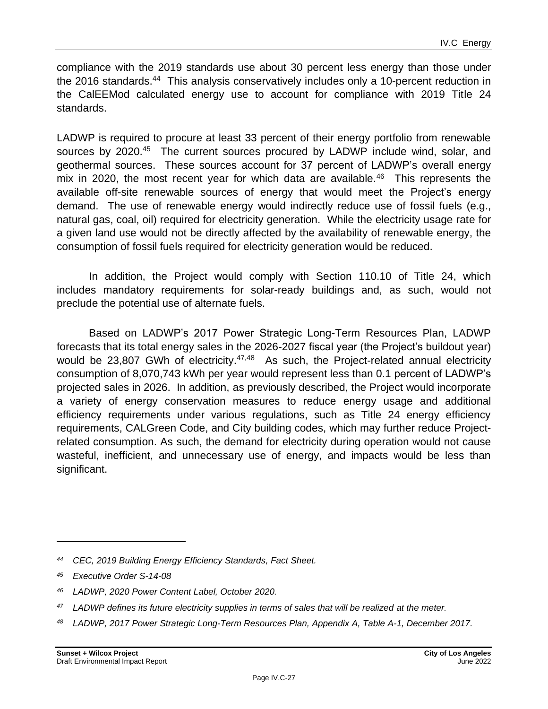compliance with the 2019 standards use about 30 percent less energy than those under the 2016 standards.<sup>44</sup> This analysis conservatively includes only a 10-percent reduction in the CalEEMod calculated energy use to account for compliance with 2019 Title 24 standards.

LADWP is required to procure at least 33 percent of their energy portfolio from renewable sources by 2020.<sup>45</sup> The current sources procured by LADWP include wind, solar, and geothermal sources. These sources account for 37 percent of LADWP's overall energy mix in 2020, the most recent year for which data are available.<sup>46</sup> This represents the available off-site renewable sources of energy that would meet the Project's energy demand. The use of renewable energy would indirectly reduce use of fossil fuels (e.g., natural gas, coal, oil) required for electricity generation. While the electricity usage rate for a given land use would not be directly affected by the availability of renewable energy, the consumption of fossil fuels required for electricity generation would be reduced.

In addition, the Project would comply with Section 110.10 of Title 24, which includes mandatory requirements for solar-ready buildings and, as such, would not preclude the potential use of alternate fuels.

Based on LADWP's 2017 Power Strategic Long-Term Resources Plan, LADWP forecasts that its total energy sales in the 2026-2027 fiscal year (the Project's buildout year) would be 23,807 GWh of electricity.<sup>47,48</sup> As such, the Project-related annual electricity consumption of 8,070,743 kWh per year would represent less than 0.1 percent of LADWP's projected sales in 2026. In addition, as previously described, the Project would incorporate a variety of energy conservation measures to reduce energy usage and additional efficiency requirements under various regulations, such as Title 24 energy efficiency requirements, CALGreen Code, and City building codes, which may further reduce Projectrelated consumption. As such, the demand for electricity during operation would not cause wasteful, inefficient, and unnecessary use of energy, and impacts would be less than significant.

*<sup>48</sup> LADWP, 2017 Power Strategic Long-Term Resources Plan, Appendix A, Table A-1, December 2017.*

*<sup>44</sup> CEC, 2019 Building Energy Efficiency Standards, Fact Sheet.*

*<sup>45</sup> Executive Order S-14-08*

*<sup>46</sup> LADWP, 2020 Power Content Label, October 2020.*

*<sup>47</sup> LADWP defines its future electricity supplies in terms of sales that will be realized at the meter.*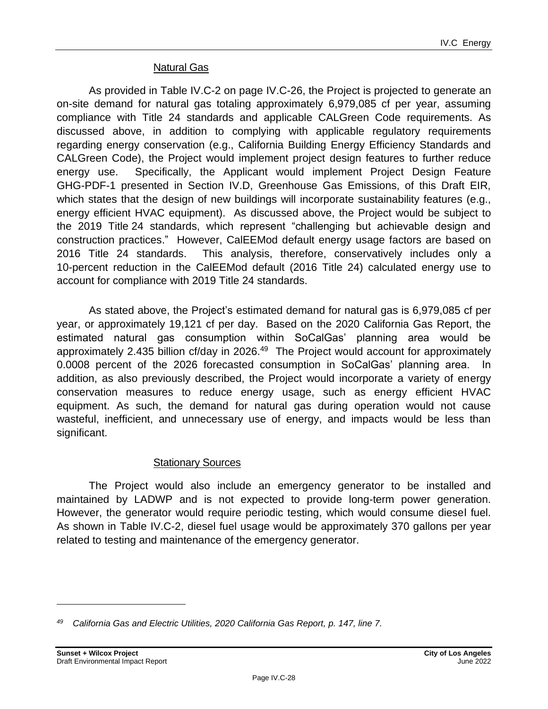#### Natural Gas

As provided in Table IV.C-2 on page IV.C-26, the Project is projected to generate an on-site demand for natural gas totaling approximately 6,979,085 cf per year, assuming compliance with Title 24 standards and applicable CALGreen Code requirements. As discussed above, in addition to complying with applicable regulatory requirements regarding energy conservation (e.g., California Building Energy Efficiency Standards and CALGreen Code), the Project would implement project design features to further reduce energy use. Specifically, the Applicant would implement Project Design Feature GHG-PDF-1 presented in Section IV.D, Greenhouse Gas Emissions, of this Draft EIR, which states that the design of new buildings will incorporate sustainability features (e.g., energy efficient HVAC equipment). As discussed above, the Project would be subject to the 2019 Title 24 standards, which represent "challenging but achievable design and construction practices." However, CalEEMod default energy usage factors are based on 2016 Title 24 standards. This analysis, therefore, conservatively includes only a 10-percent reduction in the CalEEMod default (2016 Title 24) calculated energy use to account for compliance with 2019 Title 24 standards.

As stated above, the Project's estimated demand for natural gas is 6,979,085 cf per year, or approximately 19,121 cf per day. Based on the 2020 California Gas Report, the estimated natural gas consumption within SoCalGas' planning area would be approximately 2.435 billion cf/day in 2026.<sup>49</sup> The Project would account for approximately 0.0008 percent of the 2026 forecasted consumption in SoCalGas' planning area. In addition, as also previously described, the Project would incorporate a variety of energy conservation measures to reduce energy usage, such as energy efficient HVAC equipment. As such, the demand for natural gas during operation would not cause wasteful, inefficient, and unnecessary use of energy, and impacts would be less than significant.

#### Stationary Sources

The Project would also include an emergency generator to be installed and maintained by LADWP and is not expected to provide long-term power generation. However, the generator would require periodic testing, which would consume diesel fuel. As shown in Table IV.C-2, diesel fuel usage would be approximately 370 gallons per year related to testing and maintenance of the emergency generator.

*<sup>49</sup> California Gas and Electric Utilities, 2020 California Gas Report, p. 147, line 7.*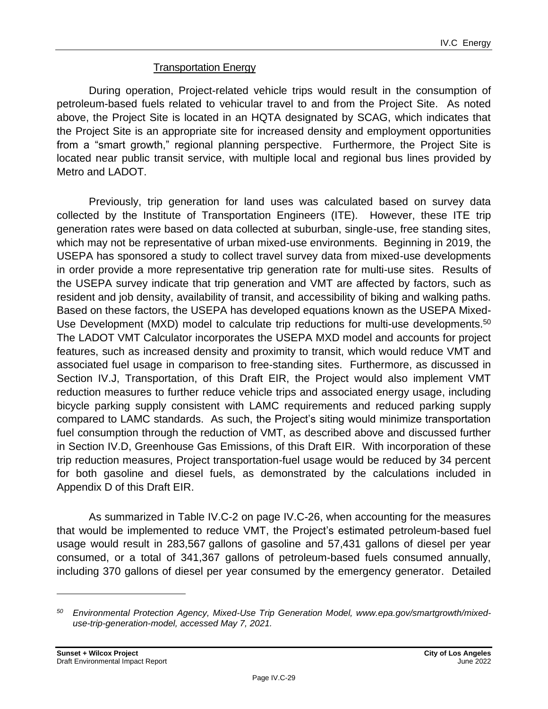#### Transportation Energy

During operation, Project-related vehicle trips would result in the consumption of petroleum-based fuels related to vehicular travel to and from the Project Site. As noted above, the Project Site is located in an HQTA designated by SCAG, which indicates that the Project Site is an appropriate site for increased density and employment opportunities from a "smart growth," regional planning perspective. Furthermore, the Project Site is located near public transit service, with multiple local and regional bus lines provided by Metro and LADOT.

Previously, trip generation for land uses was calculated based on survey data collected by the Institute of Transportation Engineers (ITE). However, these ITE trip generation rates were based on data collected at suburban, single-use, free standing sites, which may not be representative of urban mixed-use environments. Beginning in 2019, the USEPA has sponsored a study to collect travel survey data from mixed-use developments in order provide a more representative trip generation rate for multi-use sites. Results of the USEPA survey indicate that trip generation and VMT are affected by factors, such as resident and job density, availability of transit, and accessibility of biking and walking paths. Based on these factors, the USEPA has developed equations known as the USEPA Mixed-Use Development (MXD) model to calculate trip reductions for multi-use developments.<sup>50</sup> The LADOT VMT Calculator incorporates the USEPA MXD model and accounts for project features, such as increased density and proximity to transit, which would reduce VMT and associated fuel usage in comparison to free-standing sites. Furthermore, as discussed in Section IV.J, Transportation, of this Draft EIR, the Project would also implement VMT reduction measures to further reduce vehicle trips and associated energy usage, including bicycle parking supply consistent with LAMC requirements and reduced parking supply compared to LAMC standards. As such, the Project's siting would minimize transportation fuel consumption through the reduction of VMT, as described above and discussed further in Section IV.D, Greenhouse Gas Emissions, of this Draft EIR. With incorporation of these trip reduction measures, Project transportation-fuel usage would be reduced by 34 percent for both gasoline and diesel fuels, as demonstrated by the calculations included in Appendix D of this Draft EIR.

As summarized in Table IV.C-2 on page IV.C-26, when accounting for the measures that would be implemented to reduce VMT, the Project's estimated petroleum-based fuel usage would result in 283,567 gallons of gasoline and 57,431 gallons of diesel per year consumed, or a total of 341,367 gallons of petroleum-based fuels consumed annually, including 370 gallons of diesel per year consumed by the emergency generator. Detailed

*<sup>50</sup> Environmental Protection Agency, Mixed-Use Trip Generation Model, www.epa.gov/smartgrowth/mixeduse-trip-generation-model, accessed May 7, 2021.*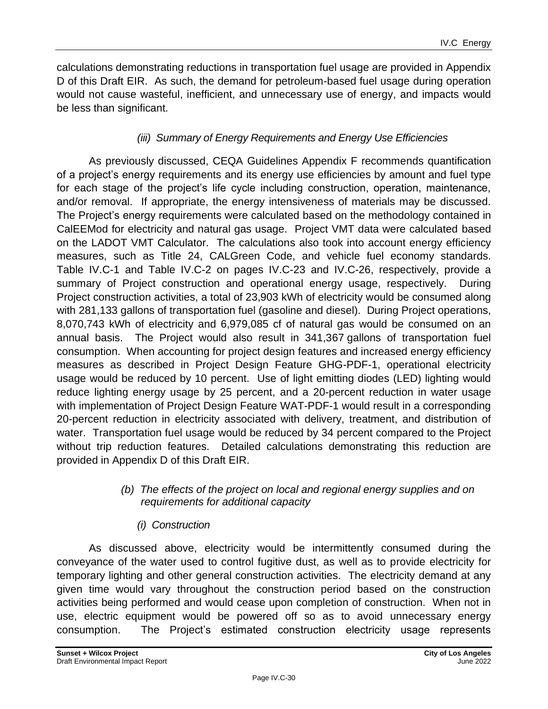calculations demonstrating reductions in transportation fuel usage are provided in Appendix D of this Draft EIR. As such, the demand for petroleum-based fuel usage during operation would not cause wasteful, inefficient, and unnecessary use of energy, and impacts would be less than significant.

# *(iii) Summary of Energy Requirements and Energy Use Efficiencies*

As previously discussed, CEQA Guidelines Appendix F recommends quantification of a project's energy requirements and its energy use efficiencies by amount and fuel type for each stage of the project's life cycle including construction, operation, maintenance, and/or removal. If appropriate, the energy intensiveness of materials may be discussed. The Project's energy requirements were calculated based on the methodology contained in CalEEMod for electricity and natural gas usage. Project VMT data were calculated based on the LADOT VMT Calculator. The calculations also took into account energy efficiency measures, such as Title 24, CALGreen Code, and vehicle fuel economy standards. Table IV.C-1 and Table IV.C-2 on pages [IV.C-23](#page-22-0) and IV.C-26, respectively, provide a summary of Project construction and operational energy usage, respectively. During Project construction activities, a total of 23,903 kWh of electricity would be consumed along with 281,133 gallons of transportation fuel (gasoline and diesel). During Project operations, 8,070,743 kWh of electricity and 6,979,085 cf of natural gas would be consumed on an annual basis. The Project would also result in 341,367 gallons of transportation fuel consumption. When accounting for project design features and increased energy efficiency measures as described in Project Design Feature GHG-PDF-1, operational electricity usage would be reduced by 10 percent. Use of light emitting diodes (LED) lighting would reduce lighting energy usage by 25 percent, and a 20-percent reduction in water usage with implementation of Project Design Feature WAT-PDF-1 would result in a corresponding 20-percent reduction in electricity associated with delivery, treatment, and distribution of water. Transportation fuel usage would be reduced by 34 percent compared to the Project without trip reduction features. Detailed calculations demonstrating this reduction are provided in Appendix D of this Draft EIR.

#### *(b) The effects of the project on local and regional energy supplies and on requirements for additional capacity*

# *(i) Construction*

As discussed above, electricity would be intermittently consumed during the conveyance of the water used to control fugitive dust, as well as to provide electricity for temporary lighting and other general construction activities. The electricity demand at any given time would vary throughout the construction period based on the construction activities being performed and would cease upon completion of construction. When not in use, electric equipment would be powered off so as to avoid unnecessary energy consumption. The Project's estimated construction electricity usage represents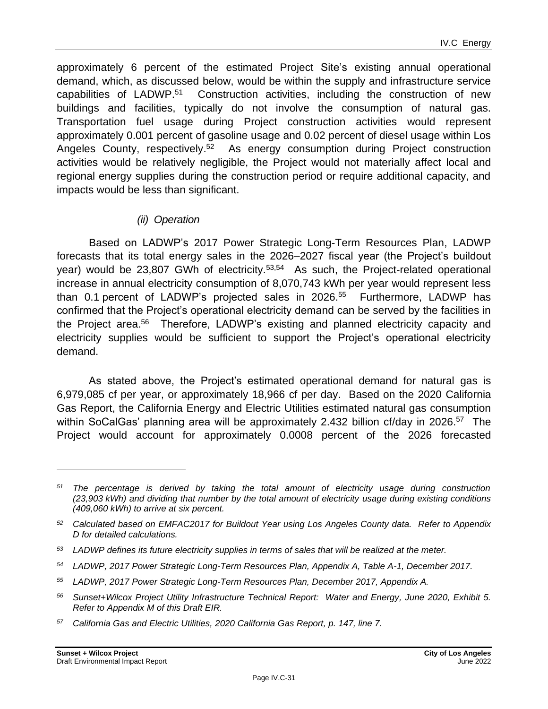approximately 6 percent of the estimated Project Site's existing annual operational demand, which, as discussed below, would be within the supply and infrastructure service capabilities of LADWP.<sup>51</sup> Construction activities, including the construction of new buildings and facilities, typically do not involve the consumption of natural gas. Transportation fuel usage during Project construction activities would represent approximately 0.001 percent of gasoline usage and 0.02 percent of diesel usage within Los Angeles County, respectively.<sup>52</sup> As energy consumption during Project construction activities would be relatively negligible, the Project would not materially affect local and regional energy supplies during the construction period or require additional capacity, and impacts would be less than significant.

# *(ii) Operation*

Based on LADWP's 2017 Power Strategic Long-Term Resources Plan, LADWP forecasts that its total energy sales in the 2026–2027 fiscal year (the Project's buildout year) would be 23,807 GWh of electricity.<sup>53,54</sup> As such, the Project-related operational increase in annual electricity consumption of 8,070,743 kWh per year would represent less than 0.1 percent of LADWP's projected sales in 2026. 55 Furthermore, LADWP has confirmed that the Project's operational electricity demand can be served by the facilities in the Project area.<sup>56</sup> Therefore, LADWP's existing and planned electricity capacity and electricity supplies would be sufficient to support the Project's operational electricity demand.

As stated above, the Project's estimated operational demand for natural gas is 6,979,085 cf per year, or approximately 18,966 cf per day. Based on the 2020 California Gas Report, the California Energy and Electric Utilities estimated natural gas consumption within SoCalGas' planning area will be approximately 2.432 billion cf/day in 2026.<sup>57</sup> The Project would account for approximately 0.0008 percent of the 2026 forecasted

- *<sup>56</sup> Sunset+Wilcox Project Utility Infrastructure Technical Report: Water and Energy, June 2020, Exhibit 5. Refer to Appendix M of this Draft EIR.*
- *<sup>57</sup> California Gas and Electric Utilities, 2020 California Gas Report, p. 147, line 7.*

*<sup>51</sup> The percentage is derived by taking the total amount of electricity usage during construction (23,903 kWh) and dividing that number by the total amount of electricity usage during existing conditions (409,060 kWh) to arrive at six percent.*

*<sup>52</sup> Calculated based on EMFAC2017 for Buildout Year using Los Angeles County data. Refer to Appendix D for detailed calculations.*

*<sup>53</sup> LADWP defines its future electricity supplies in terms of sales that will be realized at the meter.*

*<sup>54</sup> LADWP, 2017 Power Strategic Long-Term Resources Plan, Appendix A, Table A-1, December 2017.*

*<sup>55</sup> LADWP, 2017 Power Strategic Long-Term Resources Plan, December 2017, Appendix A.*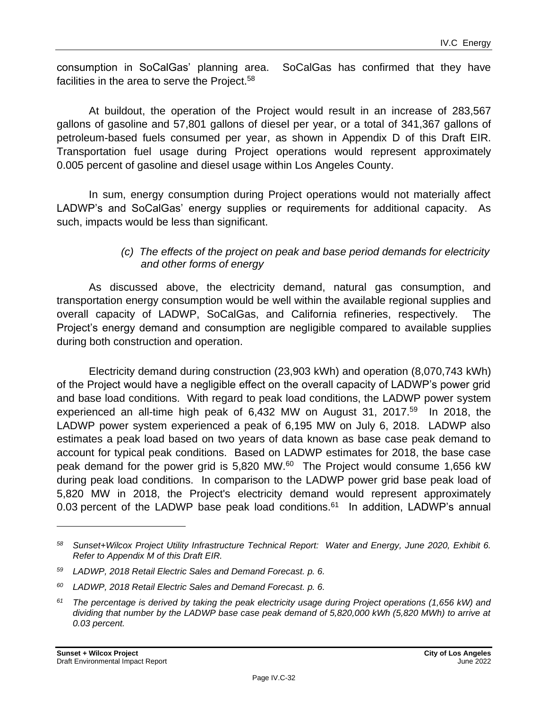consumption in SoCalGas' planning area. SoCalGas has confirmed that they have facilities in the area to serve the Project.<sup>58</sup>

At buildout, the operation of the Project would result in an increase of 283,567 gallons of gasoline and 57,801 gallons of diesel per year, or a total of 341,367 gallons of petroleum-based fuels consumed per year, as shown in Appendix D of this Draft EIR. Transportation fuel usage during Project operations would represent approximately 0.005 percent of gasoline and diesel usage within Los Angeles County.

In sum, energy consumption during Project operations would not materially affect LADWP's and SoCalGas' energy supplies or requirements for additional capacity. As such, impacts would be less than significant.

#### *(c) The effects of the project on peak and base period demands for electricity and other forms of energy*

As discussed above, the electricity demand, natural gas consumption, and transportation energy consumption would be well within the available regional supplies and overall capacity of LADWP, SoCalGas, and California refineries, respectively. The Project's energy demand and consumption are negligible compared to available supplies during both construction and operation.

Electricity demand during construction (23,903 kWh) and operation (8,070,743 kWh) of the Project would have a negligible effect on the overall capacity of LADWP's power grid and base load conditions. With regard to peak load conditions, the LADWP power system experienced an all-time high peak of 6,432 MW on August 31, 2017.<sup>59</sup> In 2018, the LADWP power system experienced a peak of 6,195 MW on July 6, 2018. LADWP also estimates a peak load based on two years of data known as base case peak demand to account for typical peak conditions. Based on LADWP estimates for 2018, the base case peak demand for the power grid is 5,820 MW.<sup>60</sup> The Project would consume 1,656 kW during peak load conditions. In comparison to the LADWP power grid base peak load of 5,820 MW in 2018, the Project's electricity demand would represent approximately 0.03 percent of the LADWP base peak load conditions. $61$  In addition, LADWP's annual

*<sup>58</sup> Sunset+Wilcox Project Utility Infrastructure Technical Report: Water and Energy, June 2020, Exhibit 6. Refer to Appendix M of this Draft EIR.*

*<sup>59</sup> LADWP, 2018 Retail Electric Sales and Demand Forecast. p. 6.*

*<sup>60</sup> LADWP, 2018 Retail Electric Sales and Demand Forecast. p. 6.*

*<sup>61</sup> The percentage is derived by taking the peak electricity usage during Project operations (1,656 kW) and dividing that number by the LADWP base case peak demand of 5,820,000 kWh (5,820 MWh) to arrive at 0.03 percent.*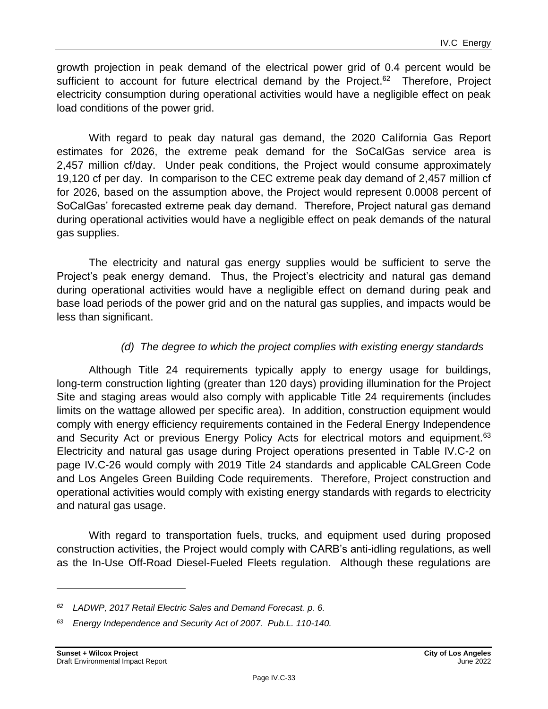growth projection in peak demand of the electrical power grid of 0.4 percent would be sufficient to account for future electrical demand by the Project.<sup>62</sup> Therefore, Project electricity consumption during operational activities would have a negligible effect on peak load conditions of the power grid.

With regard to peak day natural gas demand, the 2020 California Gas Report estimates for 2026, the extreme peak demand for the SoCalGas service area is 2,457 million cf/day. Under peak conditions, the Project would consume approximately 19,120 cf per day. In comparison to the CEC extreme peak day demand of 2,457 million cf for 2026, based on the assumption above, the Project would represent 0.0008 percent of SoCalGas' forecasted extreme peak day demand. Therefore, Project natural gas demand during operational activities would have a negligible effect on peak demands of the natural gas supplies.

The electricity and natural gas energy supplies would be sufficient to serve the Project's peak energy demand. Thus, the Project's electricity and natural gas demand during operational activities would have a negligible effect on demand during peak and base load periods of the power grid and on the natural gas supplies, and impacts would be less than significant.

# *(d) The degree to which the project complies with existing energy standards*

Although Title 24 requirements typically apply to energy usage for buildings, long-term construction lighting (greater than 120 days) providing illumination for the Project Site and staging areas would also comply with applicable Title 24 requirements (includes limits on the wattage allowed per specific area). In addition, construction equipment would comply with energy efficiency requirements contained in the Federal Energy Independence and Security Act or previous Energy Policy Acts for electrical motors and equipment.<sup>63</sup> Electricity and natural gas usage during Project operations presented in Table IV.C-2 on page IV.C-26 would comply with 2019 Title 24 standards and applicable CALGreen Code and Los Angeles Green Building Code requirements. Therefore, Project construction and operational activities would comply with existing energy standards with regards to electricity and natural gas usage.

With regard to transportation fuels, trucks, and equipment used during proposed construction activities, the Project would comply with CARB's anti-idling regulations, as well as the In-Use Off-Road Diesel-Fueled Fleets regulation. Although these regulations are

*<sup>62</sup> LADWP, 2017 Retail Electric Sales and Demand Forecast. p. 6.*

*<sup>63</sup> Energy Independence and Security Act of 2007. Pub.L. 110-140.*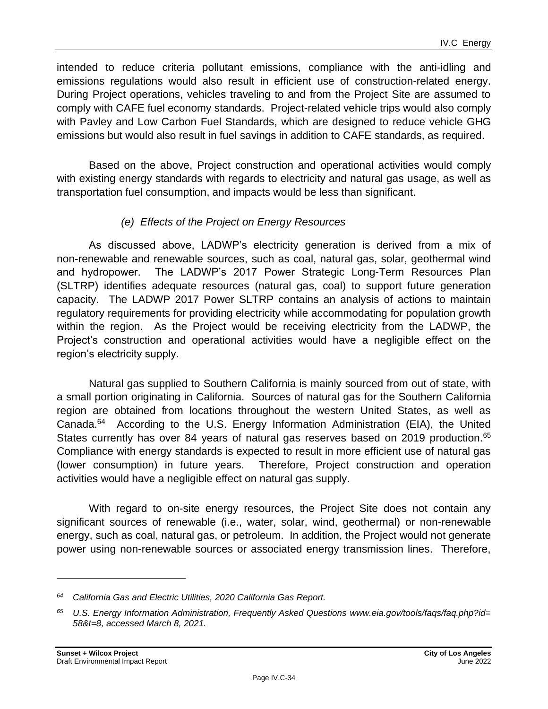intended to reduce criteria pollutant emissions, compliance with the anti-idling and emissions regulations would also result in efficient use of construction-related energy. During Project operations, vehicles traveling to and from the Project Site are assumed to comply with CAFE fuel economy standards. Project-related vehicle trips would also comply with Pavley and Low Carbon Fuel Standards, which are designed to reduce vehicle GHG emissions but would also result in fuel savings in addition to CAFE standards, as required.

Based on the above, Project construction and operational activities would comply with existing energy standards with regards to electricity and natural gas usage, as well as transportation fuel consumption, and impacts would be less than significant.

# *(e) Effects of the Project on Energy Resources*

As discussed above, LADWP's electricity generation is derived from a mix of non-renewable and renewable sources, such as coal, natural gas, solar, geothermal wind and hydropower. The LADWP's 2017 Power Strategic Long-Term Resources Plan (SLTRP) identifies adequate resources (natural gas, coal) to support future generation capacity. The LADWP 2017 Power SLTRP contains an analysis of actions to maintain regulatory requirements for providing electricity while accommodating for population growth within the region. As the Project would be receiving electricity from the LADWP, the Project's construction and operational activities would have a negligible effect on the region's electricity supply.

Natural gas supplied to Southern California is mainly sourced from out of state, with a small portion originating in California. Sources of natural gas for the Southern California region are obtained from locations throughout the western United States, as well as Canada.<sup>64</sup> According to the U.S. Energy Information Administration (EIA), the United States currently has over 84 years of natural gas reserves based on 2019 production.<sup>65</sup> Compliance with energy standards is expected to result in more efficient use of natural gas (lower consumption) in future years. Therefore, Project construction and operation activities would have a negligible effect on natural gas supply.

With regard to on-site energy resources, the Project Site does not contain any significant sources of renewable (i.e., water, solar, wind, geothermal) or non-renewable energy, such as coal, natural gas, or petroleum. In addition, the Project would not generate power using non-renewable sources or associated energy transmission lines. Therefore,

*<sup>64</sup> California Gas and Electric Utilities, 2020 California Gas Report.*

*<sup>65</sup> U.S. Energy Information Administration, Frequently Asked Questions www.eia.gov/tools/faqs/faq.php?id= 58&t=8, accessed March 8, 2021.*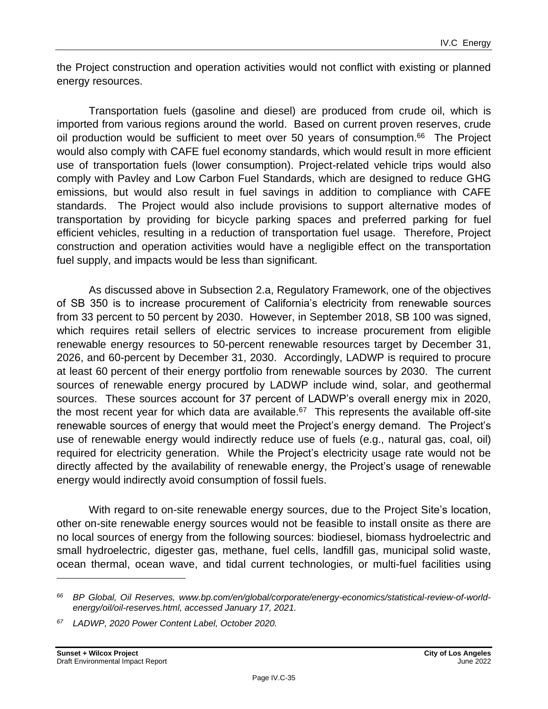the Project construction and operation activities would not conflict with existing or planned energy resources.

Transportation fuels (gasoline and diesel) are produced from crude oil, which is imported from various regions around the world. Based on current proven reserves, crude oil production would be sufficient to meet over 50 years of consumption. $66$  The Project would also comply with CAFE fuel economy standards, which would result in more efficient use of transportation fuels (lower consumption). Project-related vehicle trips would also comply with Pavley and Low Carbon Fuel Standards, which are designed to reduce GHG emissions, but would also result in fuel savings in addition to compliance with CAFE standards. The Project would also include provisions to support alternative modes of transportation by providing for bicycle parking spaces and preferred parking for fuel efficient vehicles, resulting in a reduction of transportation fuel usage. Therefore, Project construction and operation activities would have a negligible effect on the transportation fuel supply, and impacts would be less than significant.

As discussed above in Subsection 2.a, Regulatory Framework, one of the objectives of SB 350 is to increase procurement of California's electricity from renewable sources from 33 percent to 50 percent by 2030. However, in September 2018, SB 100 was signed, which requires retail sellers of electric services to increase procurement from eligible renewable energy resources to 50-percent renewable resources target by December 31, 2026, and 60-percent by December 31, 2030. Accordingly, LADWP is required to procure at least 60 percent of their energy portfolio from renewable sources by 2030. The current sources of renewable energy procured by LADWP include wind, solar, and geothermal sources. These sources account for 37 percent of LADWP's overall energy mix in 2020, the most recent year for which data are available. $67$  This represents the available off-site renewable sources of energy that would meet the Project's energy demand. The Project's use of renewable energy would indirectly reduce use of fuels (e.g., natural gas, coal, oil) required for electricity generation. While the Project's electricity usage rate would not be directly affected by the availability of renewable energy, the Project's usage of renewable energy would indirectly avoid consumption of fossil fuels.

With regard to on-site renewable energy sources, due to the Project Site's location, other on-site renewable energy sources would not be feasible to install onsite as there are no local sources of energy from the following sources: biodiesel, biomass hydroelectric and small hydroelectric, digester gas, methane, fuel cells, landfill gas, municipal solid waste, ocean thermal, ocean wave, and tidal current technologies, or multi-fuel facilities using

*<sup>66</sup> BP Global, Oil Reserves, www.bp.com/en/global/corporate/energy-economics/statistical-review-of-worldenergy/oil/oil-reserves.html, accessed January 17, 2021.*

*<sup>67</sup> LADWP, 2020 Power Content Label, October 2020.*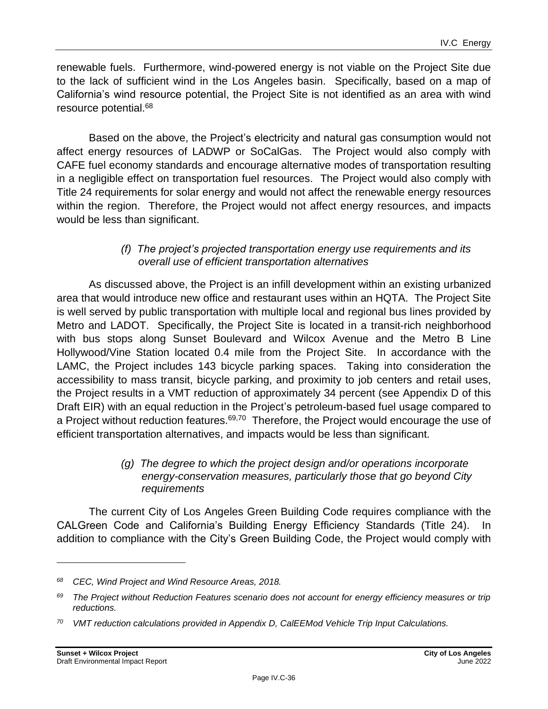renewable fuels. Furthermore, wind-powered energy is not viable on the Project Site due to the lack of sufficient wind in the Los Angeles basin. Specifically, based on a map of California's wind resource potential, the Project Site is not identified as an area with wind resource potential.<sup>68</sup>

Based on the above, the Project's electricity and natural gas consumption would not affect energy resources of LADWP or SoCalGas. The Project would also comply with CAFE fuel economy standards and encourage alternative modes of transportation resulting in a negligible effect on transportation fuel resources. The Project would also comply with Title 24 requirements for solar energy and would not affect the renewable energy resources within the region. Therefore, the Project would not affect energy resources, and impacts would be less than significant.

#### *(f) The project's projected transportation energy use requirements and its overall use of efficient transportation alternatives*

As discussed above, the Project is an infill development within an existing urbanized area that would introduce new office and restaurant uses within an HQTA. The Project Site is well served by public transportation with multiple local and regional bus lines provided by Metro and LADOT. Specifically, the Project Site is located in a transit-rich neighborhood with bus stops along Sunset Boulevard and Wilcox Avenue and the Metro B Line Hollywood/Vine Station located 0.4 mile from the Project Site. In accordance with the LAMC, the Project includes 143 bicycle parking spaces. Taking into consideration the accessibility to mass transit, bicycle parking, and proximity to job centers and retail uses, the Project results in a VMT reduction of approximately 34 percent (see Appendix D of this Draft EIR) with an equal reduction in the Project's petroleum-based fuel usage compared to a Project without reduction features.<sup>69,70</sup> Therefore, the Project would encourage the use of efficient transportation alternatives, and impacts would be less than significant.

#### *(g) The degree to which the project design and/or operations incorporate energy-conservation measures, particularly those that go beyond City requirements*

The current City of Los Angeles Green Building Code requires compliance with the CALGreen Code and California's Building Energy Efficiency Standards (Title 24). In addition to compliance with the City's Green Building Code, the Project would comply with

*<sup>68</sup> CEC, Wind Project and Wind Resource Areas, 2018.*

*<sup>69</sup> The Project without Reduction Features scenario does not account for energy efficiency measures or trip reductions.*

*<sup>70</sup> VMT reduction calculations provided in Appendix D, CalEEMod Vehicle Trip Input Calculations.*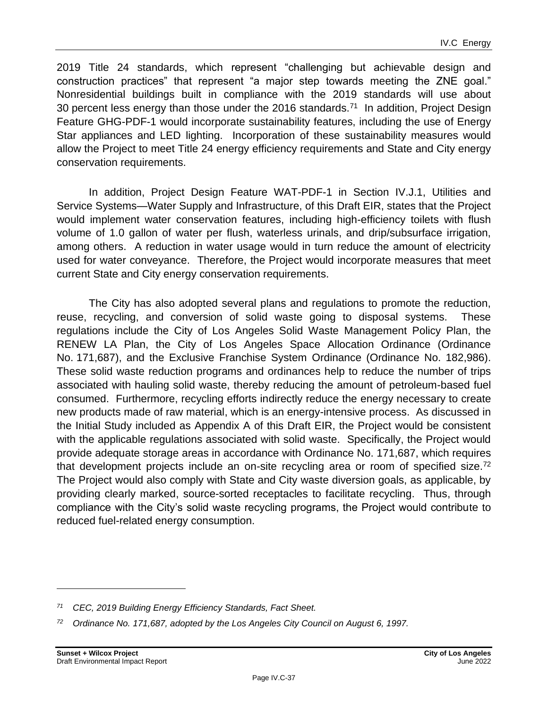2019 Title 24 standards, which represent "challenging but achievable design and construction practices" that represent "a major step towards meeting the ZNE goal." Nonresidential buildings built in compliance with the 2019 standards will use about 30 percent less energy than those under the 2016 standards.<sup>71</sup> In addition, Project Design Feature GHG-PDF-1 would incorporate sustainability features, including the use of Energy Star appliances and LED lighting. Incorporation of these sustainability measures would allow the Project to meet Title 24 energy efficiency requirements and State and City energy conservation requirements.

In addition, Project Design Feature WAT-PDF-1 in Section IV.J.1, Utilities and Service Systems—Water Supply and Infrastructure, of this Draft EIR, states that the Project would implement water conservation features, including high-efficiency toilets with flush volume of 1.0 gallon of water per flush, waterless urinals, and drip/subsurface irrigation, among others. A reduction in water usage would in turn reduce the amount of electricity used for water conveyance. Therefore, the Project would incorporate measures that meet current State and City energy conservation requirements.

The City has also adopted several plans and regulations to promote the reduction, reuse, recycling, and conversion of solid waste going to disposal systems. These regulations include the City of Los Angeles Solid Waste Management Policy Plan, the RENEW LA Plan, the City of Los Angeles Space Allocation Ordinance (Ordinance No. 171,687), and the Exclusive Franchise System Ordinance (Ordinance No. 182,986). These solid waste reduction programs and ordinances help to reduce the number of trips associated with hauling solid waste, thereby reducing the amount of petroleum-based fuel consumed. Furthermore, recycling efforts indirectly reduce the energy necessary to create new products made of raw material, which is an energy-intensive process. As discussed in the Initial Study included as Appendix A of this Draft EIR, the Project would be consistent with the applicable regulations associated with solid waste. Specifically, the Project would provide adequate storage areas in accordance with Ordinance No. 171,687, which requires that development projects include an on-site recycling area or room of specified size.<sup>72</sup> The Project would also comply with State and City waste diversion goals, as applicable, by providing clearly marked, source-sorted receptacles to facilitate recycling. Thus, through compliance with the City's solid waste recycling programs, the Project would contribute to reduced fuel-related energy consumption.

*<sup>71</sup> CEC, 2019 Building Energy Efficiency Standards, Fact Sheet.*

*<sup>72</sup> Ordinance No. 171,687, adopted by the Los Angeles City Council on August 6, 1997.*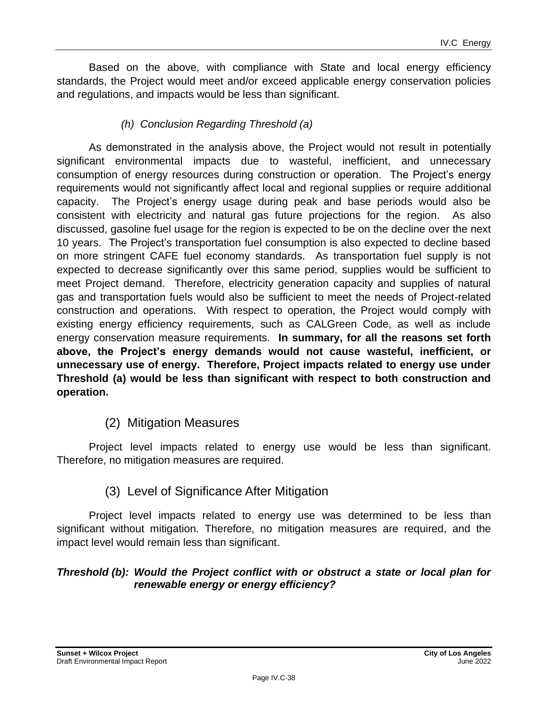Based on the above, with compliance with State and local energy efficiency standards, the Project would meet and/or exceed applicable energy conservation policies and regulations, and impacts would be less than significant.

# *(h) Conclusion Regarding Threshold (a)*

As demonstrated in the analysis above, the Project would not result in potentially significant environmental impacts due to wasteful, inefficient, and unnecessary consumption of energy resources during construction or operation. The Project's energy requirements would not significantly affect local and regional supplies or require additional capacity. The Project's energy usage during peak and base periods would also be consistent with electricity and natural gas future projections for the region. As also discussed, gasoline fuel usage for the region is expected to be on the decline over the next 10 years. The Project's transportation fuel consumption is also expected to decline based on more stringent CAFE fuel economy standards. As transportation fuel supply is not expected to decrease significantly over this same period, supplies would be sufficient to meet Project demand. Therefore, electricity generation capacity and supplies of natural gas and transportation fuels would also be sufficient to meet the needs of Project-related construction and operations. With respect to operation, the Project would comply with existing energy efficiency requirements, such as CALGreen Code, as well as include energy conservation measure requirements. **In summary, for all the reasons set forth above, the Project's energy demands would not cause wasteful, inefficient, or unnecessary use of energy. Therefore, Project impacts related to energy use under Threshold (a) would be less than significant with respect to both construction and operation.**

# (2) Mitigation Measures

Project level impacts related to energy use would be less than significant. Therefore, no mitigation measures are required.

# (3) Level of Significance After Mitigation

Project level impacts related to energy use was determined to be less than significant without mitigation. Therefore, no mitigation measures are required, and the impact level would remain less than significant.

#### *Threshold (b): Would the Project conflict with or obstruct a state or local plan for renewable energy or energy efficiency?*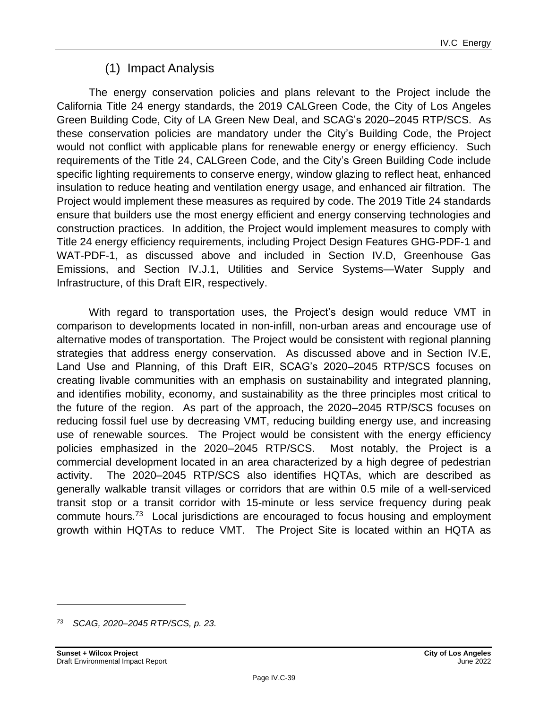# (1) Impact Analysis

The energy conservation policies and plans relevant to the Project include the California Title 24 energy standards, the 2019 CALGreen Code, the City of Los Angeles Green Building Code, City of LA Green New Deal, and SCAG's 2020–2045 RTP/SCS. As these conservation policies are mandatory under the City's Building Code, the Project would not conflict with applicable plans for renewable energy or energy efficiency. Such requirements of the Title 24, CALGreen Code, and the City's Green Building Code include specific lighting requirements to conserve energy, window glazing to reflect heat, enhanced insulation to reduce heating and ventilation energy usage, and enhanced air filtration. The Project would implement these measures as required by code. The 2019 Title 24 standards ensure that builders use the most energy efficient and energy conserving technologies and construction practices. In addition, the Project would implement measures to comply with Title 24 energy efficiency requirements, including Project Design Features GHG-PDF-1 and WAT-PDF-1, as discussed above and included in Section IV.D, Greenhouse Gas Emissions, and Section IV.J.1, Utilities and Service Systems—Water Supply and Infrastructure, of this Draft EIR, respectively.

With regard to transportation uses, the Project's design would reduce VMT in comparison to developments located in non-infill, non-urban areas and encourage use of alternative modes of transportation. The Project would be consistent with regional planning strategies that address energy conservation. As discussed above and in Section IV.E, Land Use and Planning, of this Draft EIR, SCAG's 2020–2045 RTP/SCS focuses on creating livable communities with an emphasis on sustainability and integrated planning, and identifies mobility, economy, and sustainability as the three principles most critical to the future of the region. As part of the approach, the 2020–2045 RTP/SCS focuses on reducing fossil fuel use by decreasing VMT, reducing building energy use, and increasing use of renewable sources. The Project would be consistent with the energy efficiency policies emphasized in the 2020–2045 RTP/SCS. Most notably, the Project is a commercial development located in an area characterized by a high degree of pedestrian activity. The 2020–2045 RTP/SCS also identifies HQTAs, which are described as generally walkable transit villages or corridors that are within 0.5 mile of a well-serviced transit stop or a transit corridor with 15-minute or less service frequency during peak commute hours.<sup>73</sup> Local jurisdictions are encouraged to focus housing and employment growth within HQTAs to reduce VMT. The Project Site is located within an HQTA as

*<sup>73</sup> SCAG, 2020–2045 RTP/SCS, p. 23.*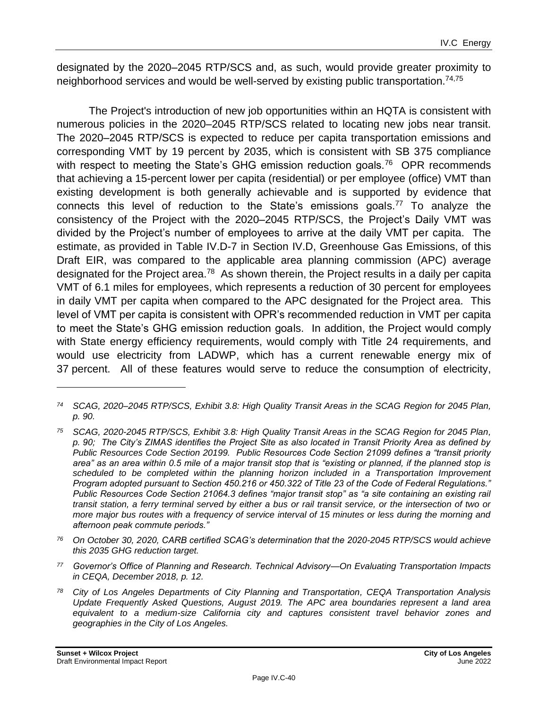designated by the 2020–2045 RTP/SCS and, as such, would provide greater proximity to neighborhood services and would be well-served by existing public transportation.<sup>74,75</sup>

The Project's introduction of new job opportunities within an HQTA is consistent with numerous policies in the 2020–2045 RTP/SCS related to locating new jobs near transit. The 2020–2045 RTP/SCS is expected to reduce per capita transportation emissions and corresponding VMT by 19 percent by 2035, which is consistent with SB 375 compliance with respect to meeting the State's GHG emission reduction goals.<sup>76</sup> OPR recommends that achieving a 15-percent lower per capita (residential) or per employee (office) VMT than existing development is both generally achievable and is supported by evidence that connects this level of reduction to the State's emissions goals.<sup>77</sup> To analyze the consistency of the Project with the 2020–2045 RTP/SCS, the Project's Daily VMT was divided by the Project's number of employees to arrive at the daily VMT per capita. The estimate, as provided in Table IV.D-7 in Section IV.D, Greenhouse Gas Emissions, of this Draft EIR, was compared to the applicable area planning commission (APC) average designated for the Project area.<sup>78</sup> As shown therein, the Project results in a daily per capita VMT of 6.1 miles for employees, which represents a reduction of 30 percent for employees in daily VMT per capita when compared to the APC designated for the Project area. This level of VMT per capita is consistent with OPR's recommended reduction in VMT per capita to meet the State's GHG emission reduction goals. In addition, the Project would comply with State energy efficiency requirements, would comply with Title 24 requirements, and would use electricity from LADWP, which has a current renewable energy mix of 37 percent. All of these features would serve to reduce the consumption of electricity,

- *<sup>76</sup> On October 30, 2020, CARB certified SCAG's determination that the 2020-2045 RTP/SCS would achieve this 2035 GHG reduction target.*
- *<sup>77</sup> Governor's Office of Planning and Research. Technical Advisory—On Evaluating Transportation Impacts in CEQA, December 2018, p. 12.*
- *<sup>78</sup> City of Los Angeles Departments of City Planning and Transportation, CEQA Transportation Analysis Update Frequently Asked Questions, August 2019. The APC area boundaries represent a land area equivalent to a medium-size California city and captures consistent travel behavior zones and geographies in the City of Los Angeles.*

*<sup>74</sup> SCAG, 2020–2045 RTP/SCS, Exhibit 3.8: High Quality Transit Areas in the SCAG Region for 2045 Plan, p. 90.*

*<sup>75</sup> SCAG, 2020-2045 RTP/SCS, Exhibit 3.8: High Quality Transit Areas in the SCAG Region for 2045 Plan, p. 90; The City's ZIMAS identifies the Project Site as also located in Transit Priority Area as defined by Public Resources Code Section 20199. Public Resources Code Section 21099 defines a "transit priority area" as an area within 0.5 mile of a major transit stop that is "existing or planned, if the planned stop is scheduled to be completed within the planning horizon included in a Transportation Improvement Program adopted pursuant to Section 450.216 or 450.322 of Title 23 of the Code of Federal Regulations." Public Resources Code Section 21064.3 defines "major transit stop" as "a site containing an existing rail transit station, a ferry terminal served by either a bus or rail transit service, or the intersection of two or more major bus routes with a frequency of service interval of 15 minutes or less during the morning and afternoon peak commute periods."*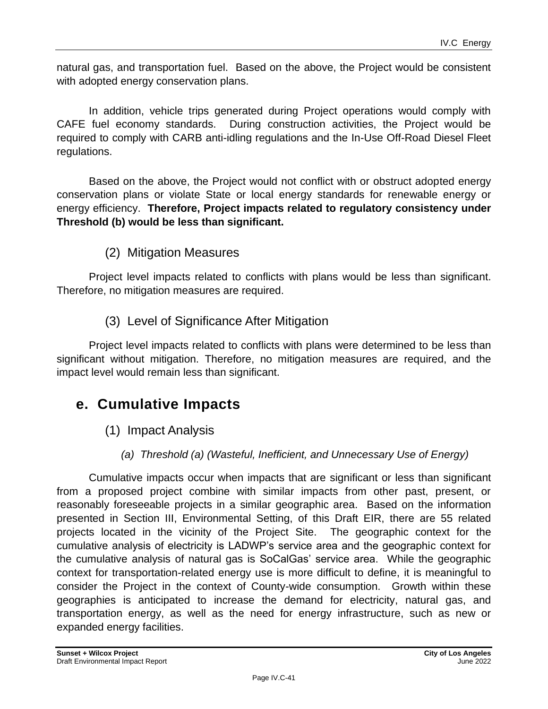natural gas, and transportation fuel. Based on the above, the Project would be consistent with adopted energy conservation plans.

In addition, vehicle trips generated during Project operations would comply with CAFE fuel economy standards. During construction activities, the Project would be required to comply with CARB anti-idling regulations and the In-Use Off-Road Diesel Fleet regulations.

Based on the above, the Project would not conflict with or obstruct adopted energy conservation plans or violate State or local energy standards for renewable energy or energy efficiency. **Therefore, Project impacts related to regulatory consistency under Threshold (b) would be less than significant.**

# (2) Mitigation Measures

Project level impacts related to conflicts with plans would be less than significant. Therefore, no mitigation measures are required.

# (3) Level of Significance After Mitigation

Project level impacts related to conflicts with plans were determined to be less than significant without mitigation. Therefore, no mitigation measures are required, and the impact level would remain less than significant.

# **e. Cumulative Impacts**

- (1) Impact Analysis
	- *(a) Threshold (a) (Wasteful, Inefficient, and Unnecessary Use of Energy)*

Cumulative impacts occur when impacts that are significant or less than significant from a proposed project combine with similar impacts from other past, present, or reasonably foreseeable projects in a similar geographic area. Based on the information presented in Section III, Environmental Setting, of this Draft EIR, there are 55 related projects located in the vicinity of the Project Site. The geographic context for the cumulative analysis of electricity is LADWP's service area and the geographic context for the cumulative analysis of natural gas is SoCalGas' service area. While the geographic context for transportation-related energy use is more difficult to define, it is meaningful to consider the Project in the context of County-wide consumption. Growth within these geographies is anticipated to increase the demand for electricity, natural gas, and transportation energy, as well as the need for energy infrastructure, such as new or expanded energy facilities.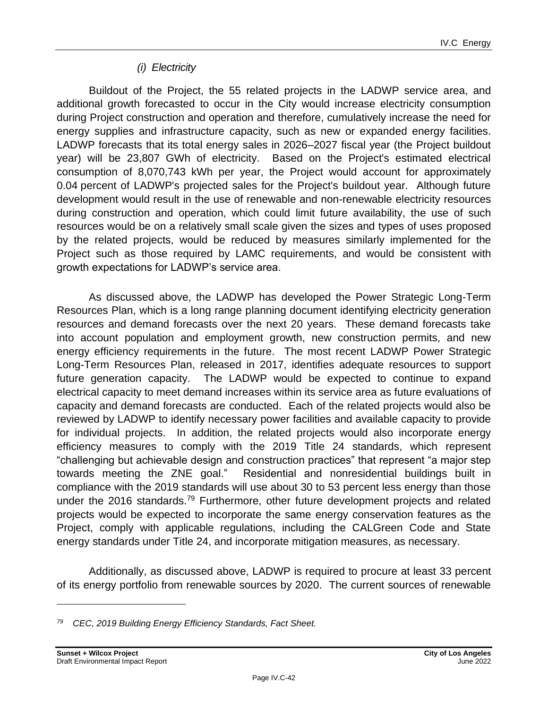# *(i) Electricity*

Buildout of the Project, the 55 related projects in the LADWP service area, and additional growth forecasted to occur in the City would increase electricity consumption during Project construction and operation and therefore, cumulatively increase the need for energy supplies and infrastructure capacity, such as new or expanded energy facilities. LADWP forecasts that its total energy sales in 2026–2027 fiscal year (the Project buildout year) will be 23,807 GWh of electricity. Based on the Project's estimated electrical consumption of 8,070,743 kWh per year, the Project would account for approximately 0.04 percent of LADWP's projected sales for the Project's buildout year. Although future development would result in the use of renewable and non-renewable electricity resources during construction and operation, which could limit future availability, the use of such resources would be on a relatively small scale given the sizes and types of uses proposed by the related projects, would be reduced by measures similarly implemented for the Project such as those required by LAMC requirements, and would be consistent with growth expectations for LADWP's service area.

As discussed above, the LADWP has developed the Power Strategic Long-Term Resources Plan, which is a long range planning document identifying electricity generation resources and demand forecasts over the next 20 years. These demand forecasts take into account population and employment growth, new construction permits, and new energy efficiency requirements in the future. The most recent LADWP Power Strategic Long-Term Resources Plan, released in 2017, identifies adequate resources to support future generation capacity. The LADWP would be expected to continue to expand electrical capacity to meet demand increases within its service area as future evaluations of capacity and demand forecasts are conducted. Each of the related projects would also be reviewed by LADWP to identify necessary power facilities and available capacity to provide for individual projects. In addition, the related projects would also incorporate energy efficiency measures to comply with the 2019 Title 24 standards, which represent "challenging but achievable design and construction practices" that represent "a major step towards meeting the ZNE goal." Residential and nonresidential buildings built in compliance with the 2019 standards will use about 30 to 53 percent less energy than those under the 2016 standards.<sup>79</sup> Furthermore, other future development projects and related projects would be expected to incorporate the same energy conservation features as the Project, comply with applicable regulations, including the CALGreen Code and State energy standards under Title 24, and incorporate mitigation measures, as necessary.

Additionally, as discussed above, LADWP is required to procure at least 33 percent of its energy portfolio from renewable sources by 2020. The current sources of renewable

*<sup>79</sup> CEC, 2019 Building Energy Efficiency Standards, Fact Sheet.*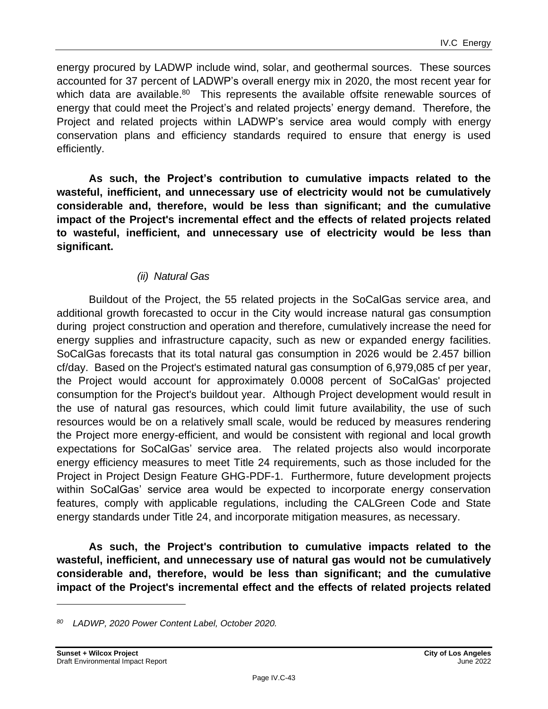energy procured by LADWP include wind, solar, and geothermal sources. These sources accounted for 37 percent of LADWP's overall energy mix in 2020, the most recent year for which data are available.<sup>80</sup> This represents the available offsite renewable sources of energy that could meet the Project's and related projects' energy demand. Therefore, the Project and related projects within LADWP's service area would comply with energy conservation plans and efficiency standards required to ensure that energy is used efficiently.

**As such, the Project's contribution to cumulative impacts related to the wasteful, inefficient, and unnecessary use of electricity would not be cumulatively considerable and, therefore, would be less than significant; and the cumulative impact of the Project's incremental effect and the effects of related projects related to wasteful, inefficient, and unnecessary use of electricity would be less than significant.**

# *(ii) Natural Gas*

Buildout of the Project, the 55 related projects in the SoCalGas service area, and additional growth forecasted to occur in the City would increase natural gas consumption during project construction and operation and therefore, cumulatively increase the need for energy supplies and infrastructure capacity, such as new or expanded energy facilities. SoCalGas forecasts that its total natural gas consumption in 2026 would be 2.457 billion cf/day. Based on the Project's estimated natural gas consumption of 6,979,085 cf per year, the Project would account for approximately 0.0008 percent of SoCalGas' projected consumption for the Project's buildout year. Although Project development would result in the use of natural gas resources, which could limit future availability, the use of such resources would be on a relatively small scale, would be reduced by measures rendering the Project more energy-efficient, and would be consistent with regional and local growth expectations for SoCalGas' service area. The related projects also would incorporate energy efficiency measures to meet Title 24 requirements, such as those included for the Project in Project Design Feature GHG-PDF-1. Furthermore, future development projects within SoCalGas' service area would be expected to incorporate energy conservation features, comply with applicable regulations, including the CALGreen Code and State energy standards under Title 24, and incorporate mitigation measures, as necessary.

**As such, the Project's contribution to cumulative impacts related to the wasteful, inefficient, and unnecessary use of natural gas would not be cumulatively considerable and, therefore, would be less than significant; and the cumulative impact of the Project's incremental effect and the effects of related projects related** 

*<sup>80</sup> LADWP, 2020 Power Content Label, October 2020.*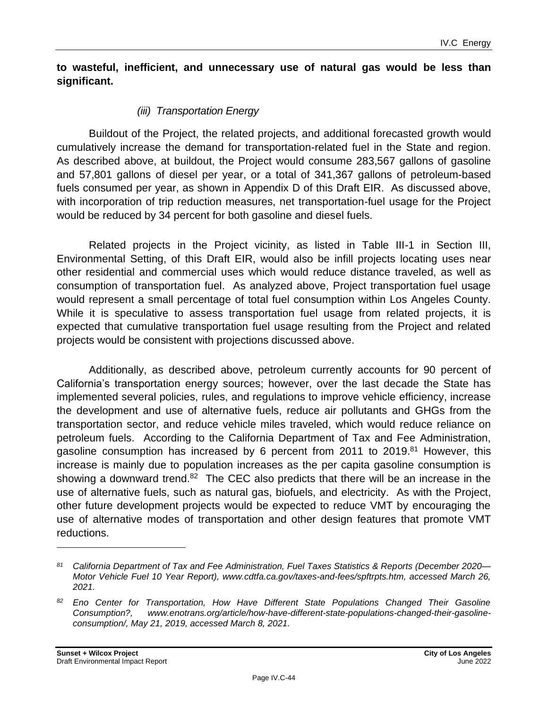#### **to wasteful, inefficient, and unnecessary use of natural gas would be less than significant.**

# *(iii) Transportation Energy*

Buildout of the Project, the related projects, and additional forecasted growth would cumulatively increase the demand for transportation-related fuel in the State and region. As described above, at buildout, the Project would consume 283,567 gallons of gasoline and 57,801 gallons of diesel per year, or a total of 341,367 gallons of petroleum-based fuels consumed per year, as shown in Appendix D of this Draft EIR. As discussed above, with incorporation of trip reduction measures, net transportation-fuel usage for the Project would be reduced by 34 percent for both gasoline and diesel fuels.

Related projects in the Project vicinity, as listed in Table III-1 in Section III, Environmental Setting, of this Draft EIR, would also be infill projects locating uses near other residential and commercial uses which would reduce distance traveled, as well as consumption of transportation fuel. As analyzed above, Project transportation fuel usage would represent a small percentage of total fuel consumption within Los Angeles County. While it is speculative to assess transportation fuel usage from related projects, it is expected that cumulative transportation fuel usage resulting from the Project and related projects would be consistent with projections discussed above.

Additionally, as described above, petroleum currently accounts for 90 percent of California's transportation energy sources; however, over the last decade the State has implemented several policies, rules, and regulations to improve vehicle efficiency, increase the development and use of alternative fuels, reduce air pollutants and GHGs from the transportation sector, and reduce vehicle miles traveled, which would reduce reliance on petroleum fuels. According to the California Department of Tax and Fee Administration, gasoline consumption has increased by 6 percent from 2011 to  $2019$ .<sup>81</sup> However, this increase is mainly due to population increases as the per capita gasoline consumption is showing a downward trend.<sup>82</sup> The CEC also predicts that there will be an increase in the use of alternative fuels, such as natural gas, biofuels, and electricity. As with the Project, other future development projects would be expected to reduce VMT by encouraging the use of alternative modes of transportation and other design features that promote VMT reductions.

*<sup>81</sup> California Department of Tax and Fee Administration, Fuel Taxes Statistics & Reports (December 2020— Motor Vehicle Fuel 10 Year Report), www.cdtfa.ca.gov/taxes-and-fees/spftrpts.htm, accessed March 26, 2021.*

*<sup>82</sup> Eno Center for Transportation, How Have Different State Populations Changed Their Gasoline Consumption?, www.enotrans.org/article/how-have-different-state-populations-changed-their-gasolineconsumption/, May 21, 2019, accessed March 8, 2021.*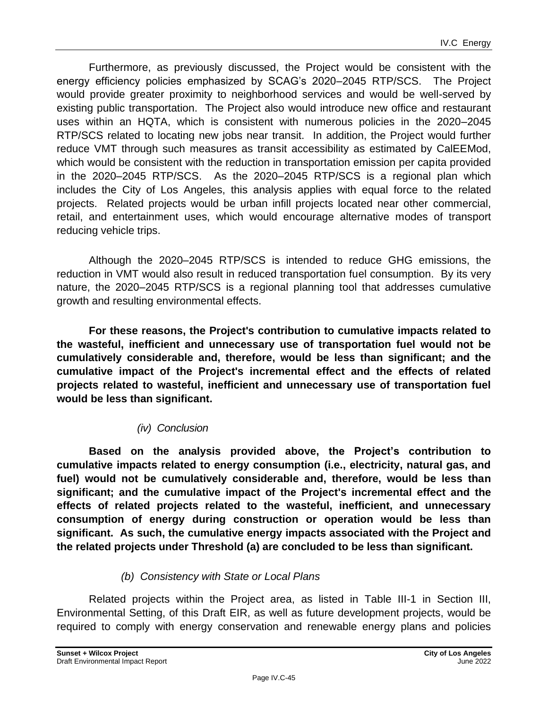Furthermore, as previously discussed, the Project would be consistent with the energy efficiency policies emphasized by SCAG's 2020–2045 RTP/SCS. The Project would provide greater proximity to neighborhood services and would be well-served by existing public transportation. The Project also would introduce new office and restaurant uses within an HQTA, which is consistent with numerous policies in the 2020–2045 RTP/SCS related to locating new jobs near transit. In addition, the Project would further reduce VMT through such measures as transit accessibility as estimated by CalEEMod, which would be consistent with the reduction in transportation emission per capita provided in the 2020–2045 RTP/SCS. As the 2020–2045 RTP/SCS is a regional plan which includes the City of Los Angeles, this analysis applies with equal force to the related projects. Related projects would be urban infill projects located near other commercial, retail, and entertainment uses, which would encourage alternative modes of transport reducing vehicle trips.

Although the 2020–2045 RTP/SCS is intended to reduce GHG emissions, the reduction in VMT would also result in reduced transportation fuel consumption. By its very nature, the 2020–2045 RTP/SCS is a regional planning tool that addresses cumulative growth and resulting environmental effects.

**For these reasons, the Project's contribution to cumulative impacts related to the wasteful, inefficient and unnecessary use of transportation fuel would not be cumulatively considerable and, therefore, would be less than significant; and the cumulative impact of the Project's incremental effect and the effects of related projects related to wasteful, inefficient and unnecessary use of transportation fuel would be less than significant.**

# *(iv) Conclusion*

**Based on the analysis provided above, the Project's contribution to cumulative impacts related to energy consumption (i.e., electricity, natural gas, and fuel) would not be cumulatively considerable and, therefore, would be less than significant; and the cumulative impact of the Project's incremental effect and the effects of related projects related to the wasteful, inefficient, and unnecessary consumption of energy during construction or operation would be less than significant. As such, the cumulative energy impacts associated with the Project and the related projects under Threshold (a) are concluded to be less than significant.**

# *(b) Consistency with State or Local Plans*

Related projects within the Project area, as listed in Table III-1 in Section III, Environmental Setting, of this Draft EIR, as well as future development projects, would be required to comply with energy conservation and renewable energy plans and policies